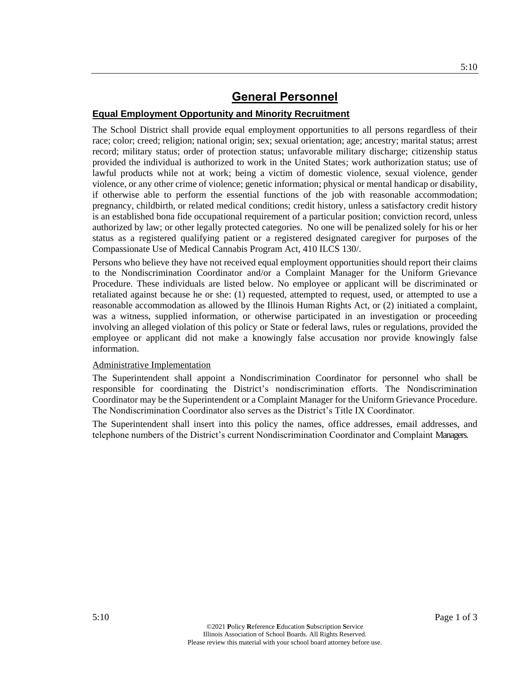#### **Equal Employment Opportunity and Minority Recruitment**

The School District shall provide equal employment opportunities to all persons regardless of their race; color; creed; religion; national origin; sex; sexual orientation; age; ancestry; marital status; arrest record; military status; order of protection status; unfavorable military discharge; citizenship status provided the individual is authorized to work in the United States; work authorization status; use of lawful products while not at work; being a victim of domestic violence, sexual violence, gender violence, or any other crime of violence; genetic information; physical or mental handicap or disability, if otherwise able to perform the essential functions of the job with reasonable accommodation; pregnancy, childbirth, or related medical conditions; credit history, unless a satisfactory credit history is an established bona fide occupational requirement of a particular position; conviction record, unless authorized by law; or other legally protected categories. No one will be penalized solely for his or her status as a registered qualifying patient or a registered designated caregiver for purposes of the Compassionate Use of Medical Cannabis Program Act, 410 ILCS 130/.

Persons who believe they have not received equal employment opportunities should report their claims to the Nondiscrimination Coordinator and/or a Complaint Manager for the Uniform Grievance Procedure. These individuals are listed below. No employee or applicant will be discriminated or retaliated against because he or she: (1) requested, attempted to request, used, or attempted to use a reasonable accommodation as allowed by the Illinois Human Rights Act, or (2) initiated a complaint, was a witness, supplied information, or otherwise participated in an investigation or proceeding involving an alleged violation of this policy or State or federal laws, rules or regulations, provided the employee or applicant did not make a knowingly false accusation nor provide knowingly false information.

#### Administrative Implementation

The Superintendent shall appoint a Nondiscrimination Coordinator for personnel who shall be responsible for coordinating the District's nondiscrimination efforts. The Nondiscrimination Coordinator may be the Superintendent or a Complaint Manager for the Uniform Grievance Procedure. The Nondiscrimination Coordinator also serves as the District's Title IX Coordinator.

The Superintendent shall insert into this policy the names, office addresses, email addresses, and telephone numbers of the District's current Nondiscrimination Coordinator and Complaint Managers.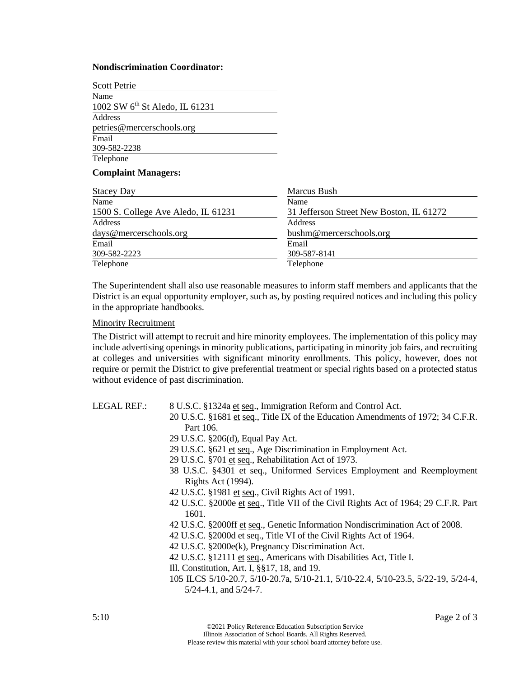#### **Nondiscrimination Coordinator:**

| Scott Petrie                               |                                          |
|--------------------------------------------|------------------------------------------|
| Name                                       |                                          |
| 1002 SW 6 <sup>th</sup> St Aledo, IL 61231 |                                          |
| Address                                    |                                          |
| petries@mercerschools.org                  |                                          |
| Email                                      |                                          |
| 309-582-2238                               |                                          |
| Telephone                                  |                                          |
| <b>Complaint Managers:</b>                 |                                          |
| <b>Stacey Day</b>                          | Marcus Bush                              |
| Name                                       | Name                                     |
| 1500 S. College Ave Aledo, IL 61231        | 31 Jefferson Street New Boston, IL 61272 |
| <b>Address</b>                             | Address                                  |
| days@mercerschools.org                     | bushm@mercerschools.org                  |
| Email                                      | Email                                    |
| 309-582-2223                               | 309-587-8141                             |
| Telephone                                  | Telephone                                |

The Superintendent shall also use reasonable measures to inform staff members and applicants that the District is an equal opportunity employer, such as, by posting required notices and including this policy in the appropriate handbooks.

#### Minority Recruitment

The District will attempt to recruit and hire minority employees. The implementation of this policy may include advertising openings in minority publications, participating in minority job fairs, and recruiting at colleges and universities with significant minority enrollments. This policy, however, does not require or permit the District to give preferential treatment or special rights based on a protected status without evidence of past discrimination.

LEGAL REF.: 8 U.S.C. §1324a et seq., Immigration Reform and Control Act.

- 20 U.S.C. §1681 et seq., Title IX of the Education Amendments of 1972; 34 C.F.R. Part 106.
- 29 U.S.C. §206(d), Equal Pay Act.
- 29 U.S.C. §621 et seq., Age Discrimination in Employment Act.
- 29 U.S.C. §701 et seq., Rehabilitation Act of 1973.
- 38 U.S.C. §4301 et seq., Uniformed Services Employment and Reemployment Rights Act (1994).
- 42 U.S.C. §1981 et seq., Civil Rights Act of 1991.
- 42 U.S.C. §2000e et seq., Title VII of the Civil Rights Act of 1964; 29 C.F.R. Part 1601.
- 42 U.S.C. §2000ff et seq., Genetic Information Nondiscrimination Act of 2008.
- 42 U.S.C. §2000d et seq., Title VI of the Civil Rights Act of 1964.
- 42 U.S.C. §2000e(k), Pregnancy Discrimination Act.
- 42 U.S.C. §12111 et seq., Americans with Disabilities Act, Title I.
- Ill. Constitution, Art. I, §§17, 18, and 19.
- 105 ILCS 5/10-20.7, 5/10-20.7a, 5/10-21.1, 5/10-22.4, 5/10-23.5, 5/22-19, 5/24-4, 5/24-4.1, and 5/24-7.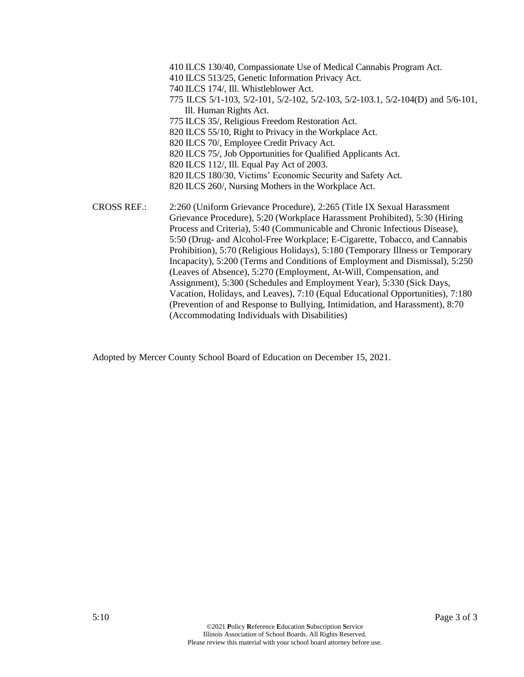410 ILCS 130/40, Compassionate Use of Medical Cannabis Program Act. 410 ILCS 513/25, Genetic Information Privacy Act. 740 ILCS 174/, Ill. Whistleblower Act. 775 ILCS 5/1-103, 5/2-101, 5/2-102, 5/2-103, 5/2-103.1, 5/2-104(D) and 5/6-101, Ill. Human Rights Act. 775 ILCS 35/, Religious Freedom Restoration Act. 820 ILCS 55/10, Right to Privacy in the Workplace Act. 820 ILCS 70/, Employee Credit Privacy Act. 820 ILCS 75/, Job Opportunities for Qualified Applicants Act. 820 ILCS 112/, Ill. Equal Pay Act of 2003. 820 ILCS 180/30, Victims' Economic Security and Safety Act. 820 ILCS 260/, Nursing Mothers in the Workplace Act. CROSS REF.: 2:260 (Uniform Grievance Procedure), 2:265 (Title IX Sexual Harassment Grievance Procedure), 5:20 (Workplace Harassment Prohibited), 5:30 (Hiring Process and Criteria), 5:40 (Communicable and Chronic Infectious Disease), 5:50 (Drug- and Alcohol-Free Workplace; E-Cigarette, Tobacco, and Cannabis Prohibition), 5:70 (Religious Holidays), 5:180 (Temporary Illness or Temporary Incapacity), 5:200 (Terms and Conditions of Employment and Dismissal), 5:250

> (Leaves of Absence), 5:270 (Employment, At-Will, Compensation, and Assignment), 5:300 (Schedules and Employment Year), 5:330 (Sick Days, Vacation, Holidays, and Leaves), 7:10 (Equal Educational Opportunities), 7:180 (Prevention of and Response to Bullying, Intimidation, and Harassment), 8:70 (Accommodating Individuals with Disabilities)

Adopted by Mercer County School Board of Education on December 15, 2021.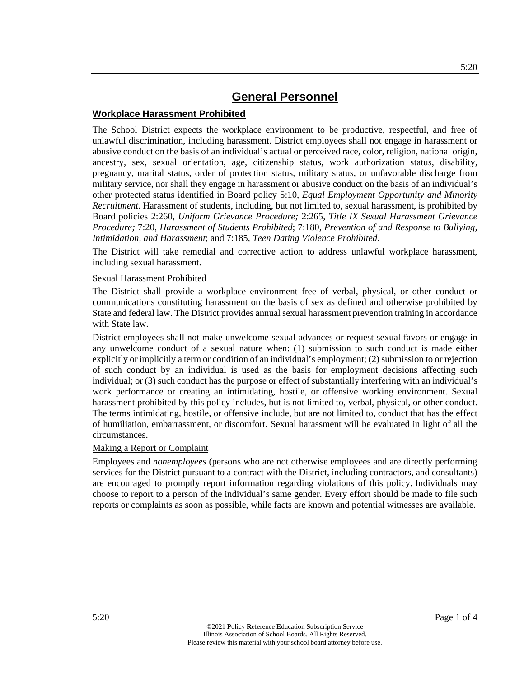### **Workplace Harassment Prohibited**

The School District expects the workplace environment to be productive, respectful, and free of unlawful discrimination, including harassment. District employees shall not engage in harassment or abusive conduct on the basis of an individual's actual or perceived race, color, religion, national origin, ancestry, sex, sexual orientation, age, citizenship status, work authorization status, disability, pregnancy, marital status, order of protection status, military status, or unfavorable discharge from military service, nor shall they engage in harassment or abusive conduct on the basis of an individual's other protected status identified in Board policy 5:10, *Equal Employment Opportunity and Minority Recruitment*. Harassment of students, including, but not limited to, sexual harassment, is prohibited by Board policies 2:260, *Uniform Grievance Procedure;* 2:265, *Title IX Sexual Harassment Grievance Procedure;* 7:20, *Harassment of Students Prohibited*; 7:180, *Prevention of and Response to Bullying, Intimidation, and Harassment*; and 7:185, *Teen Dating Violence Prohibited*.

The District will take remedial and corrective action to address unlawful workplace harassment, including sexual harassment.

#### Sexual Harassment Prohibited

The District shall provide a workplace environment free of verbal, physical, or other conduct or communications constituting harassment on the basis of sex as defined and otherwise prohibited by State and federal law. The District provides annual sexual harassment prevention training in accordance with State law.

District employees shall not make unwelcome sexual advances or request sexual favors or engage in any unwelcome conduct of a sexual nature when: (1) submission to such conduct is made either explicitly or implicitly a term or condition of an individual's employment; (2) submission to or rejection of such conduct by an individual is used as the basis for employment decisions affecting such individual; or (3) such conduct has the purpose or effect of substantially interfering with an individual's work performance or creating an intimidating, hostile, or offensive working environment. Sexual harassment prohibited by this policy includes, but is not limited to, verbal, physical, or other conduct. The terms intimidating, hostile, or offensive include, but are not limited to, conduct that has the effect of humiliation, embarrassment, or discomfort. Sexual harassment will be evaluated in light of all the circumstances.

#### Making a Report or Complaint

Employees and *nonemployees* (persons who are not otherwise employees and are directly performing services for the District pursuant to a contract with the District, including contractors, and consultants) are encouraged to promptly report information regarding violations of this policy. Individuals may choose to report to a person of the individual's same gender. Every effort should be made to file such reports or complaints as soon as possible, while facts are known and potential witnesses are available.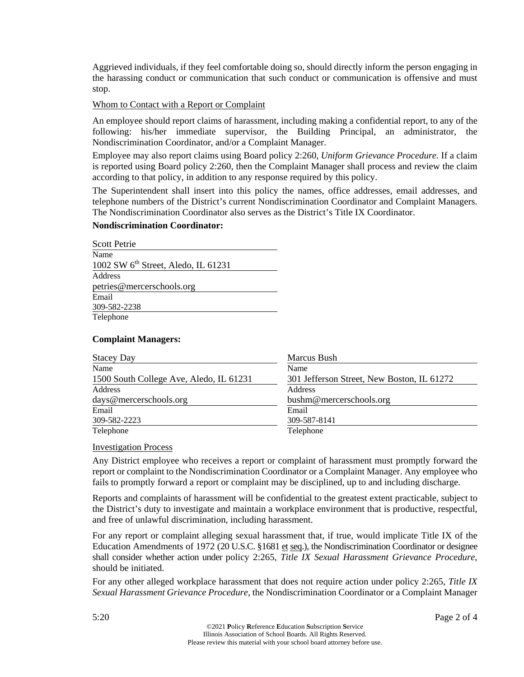Aggrieved individuals, if they feel comfortable doing so, should directly inform the person engaging in the harassing conduct or communication that such conduct or communication is offensive and must stop.

#### Whom to Contact with a Report or Complaint

An employee should report claims of harassment, including making a confidential report, to any of the following: his/her immediate supervisor, the Building Principal, an administrator, the Nondiscrimination Coordinator, and/or a Complaint Manager.

Employee may also report claims using Board policy 2:260, *Uniform Grievance Procedure.* If a claim is reported using Board policy 2:260, then the Complaint Manager shall process and review the claim according to that policy, in addition to any response required by this policy.

The Superintendent shall insert into this policy the names, office addresses, email addresses, and telephone numbers of the District's current Nondiscrimination Coordinator and Complaint Managers. The Nondiscrimination Coordinator also serves as the District's Title IX Coordinator.

#### **Nondiscrimination Coordinator:**

| <b>Scott Petrie</b>                   |
|---------------------------------------|
| Name                                  |
| 1002 SW $6th$ Street, Aledo, IL 61231 |
| Address                               |
| petries@mercerschools.org             |
| Email                                 |
| 309-582-2238                          |
| Telephone                             |

#### **Complaint Managers:**

| <b>Stacey Day</b>                       | Marcus Bush                                |
|-----------------------------------------|--------------------------------------------|
| Name                                    | Name                                       |
| 1500 South College Ave, Aledo, IL 61231 | 301 Jefferson Street, New Boston, IL 61272 |
| Address                                 | Address                                    |
| days@mercerschools.org                  | bushm@mercerschools.org                    |
| Email                                   | Email                                      |
| 309-582-2223                            | 309-587-8141                               |
| Telephone                               | Telephone                                  |

#### Investigation Process

Any District employee who receives a report or complaint of harassment must promptly forward the report or complaint to the Nondiscrimination Coordinator or a Complaint Manager. Any employee who fails to promptly forward a report or complaint may be disciplined, up to and including discharge.

Reports and complaints of harassment will be confidential to the greatest extent practicable, subject to the District's duty to investigate and maintain a workplace environment that is productive, respectful, and free of unlawful discrimination, including harassment.

For any report or complaint alleging sexual harassment that, if true, would implicate Title IX of the Education Amendments of 1972 (20 U.S.C. §1681 et seq.), the Nondiscrimination Coordinator or designee shall consider whether action under policy 2:265, *Title IX Sexual Harassment Grievance Procedure*, should be initiated.

For any other alleged workplace harassment that does not require action under policy 2:265, *Title IX Sexual Harassment Grievance Procedure*, the Nondiscrimination Coordinator or a Complaint Manager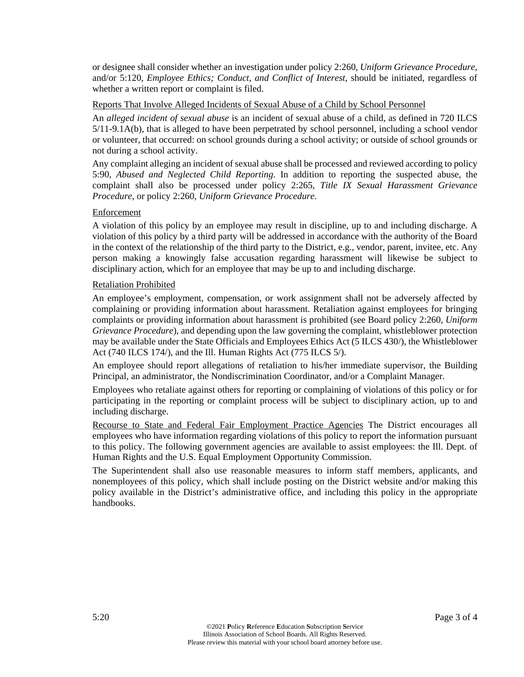or designee shall consider whether an investigation under policy 2:260, *Uniform Grievance Procedure*, and/or 5:120, *Employee Ethics; Conduct, and Conflict of Interest*, should be initiated, regardless of whether a written report or complaint is filed.

#### Reports That Involve Alleged Incidents of Sexual Abuse of a Child by School Personnel

An *alleged incident of sexual abuse* is an incident of sexual abuse of a child, as defined in 720 ILCS 5/11-9.1A(b), that is alleged to have been perpetrated by school personnel, including a school vendor or volunteer, that occurred: on school grounds during a school activity; or outside of school grounds or not during a school activity.

Any complaint alleging an incident of sexual abuse shall be processed and reviewed according to policy 5:90, *Abused and Neglected Child Reporting*. In addition to reporting the suspected abuse, the complaint shall also be processed under policy 2:265, *Title IX Sexual Harassment Grievance Procedure*, or policy 2:260, *Uniform Grievance Procedure*.

#### Enforcement

A violation of this policy by an employee may result in discipline, up to and including discharge. A violation of this policy by a third party will be addressed in accordance with the authority of the Board in the context of the relationship of the third party to the District, e.g., vendor, parent, invitee, etc. Any person making a knowingly false accusation regarding harassment will likewise be subject to disciplinary action, which for an employee that may be up to and including discharge.

#### Retaliation Prohibited

An employee's employment, compensation, or work assignment shall not be adversely affected by complaining or providing information about harassment. Retaliation against employees for bringing complaints or providing information about harassment is prohibited (see Board policy 2:260, *Uniform Grievance Procedure*), and depending upon the law governing the complaint, whistleblower protection may be available under the State Officials and Employees Ethics Act (5 ILCS 430/), the Whistleblower Act (740 ILCS 174/), and the Ill. Human Rights Act (775 ILCS 5/).

An employee should report allegations of retaliation to his/her immediate supervisor, the Building Principal, an administrator, the Nondiscrimination Coordinator, and/or a Complaint Manager.

Employees who retaliate against others for reporting or complaining of violations of this policy or for participating in the reporting or complaint process will be subject to disciplinary action, up to and including discharge.

Recourse to State and Federal Fair Employment Practice Agencies The District encourages all employees who have information regarding violations of this policy to report the information pursuant to this policy. The following government agencies are available to assist employees: the Ill. Dept. of Human Rights and the U.S. Equal Employment Opportunity Commission.

The Superintendent shall also use reasonable measures to inform staff members, applicants, and nonemployees of this policy, which shall include posting on the District website and/or making this policy available in the District's administrative office, and including this policy in the appropriate handbooks.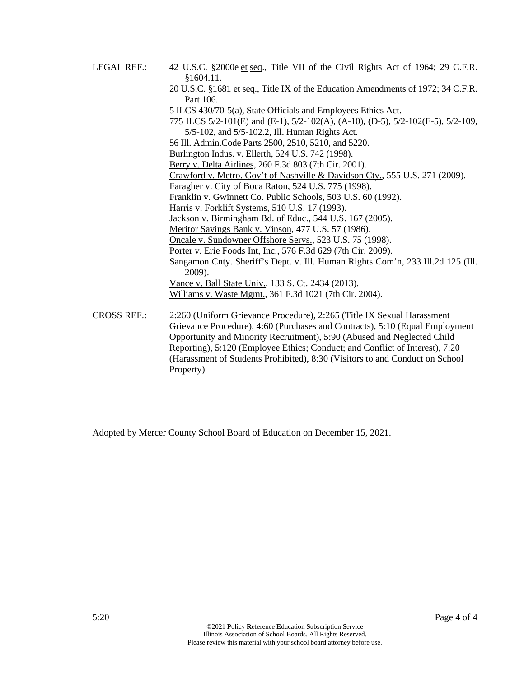LEGAL REF.: 42 U.S.C. §2000e et seq., Title VII of the Civil Rights Act of 1964; 29 C.F.R. §1604.11. 20 U.S.C. §1681 et seq., Title IX of the Education Amendments of 1972; 34 C.F.R. Part 106. 5 ILCS 430/70-5(a), State Officials and Employees Ethics Act. 775 ILCS 5/2-101(E) and (E-1), 5/2-102(A), (A-10), (D-5), 5/2-102(E-5), 5/2-109, 5/5-102, and 5/5-102.2, Ill. Human Rights Act. 56 Ill. Admin.Code Parts 2500, 2510, 5210, and 5220. Burlington Indus. v. Ellerth, 524 U.S. 742 (1998). Berry v. Delta Airlines, 260 F.3d 803 (7th Cir. 2001). Crawford v. Metro. Gov't of Nashville & Davidson Cty., 555 U.S. 271 (2009). Faragher v. City of Boca Raton, 524 U.S. 775 (1998). Franklin v. Gwinnett Co. Public Schools, 503 U.S. 60 (1992). Harris v. Forklift Systems, 510 U.S. 17 (1993). Jackson v. Birmingham Bd. of Educ., 544 U.S. 167 (2005). Meritor Savings Bank v. Vinson, 477 U.S. 57 (1986). Oncale v. Sundowner Offshore Servs., 523 U.S. 75 (1998). Porter v. Erie Foods Int, Inc., 576 F.3d 629 (7th Cir. 2009). Sangamon Cnty. Sheriff's Dept. v. Ill. Human Rights Com'n, 233 Ill.2d 125 (Ill. 2009). Vance v. Ball State Univ., 133 S. Ct. 2434 (2013). Williams v. Waste Mgmt., 361 F.3d 1021 (7th Cir. 2004). CROSS REF.: 2:260 (Uniform Grievance Procedure), 2:265 (Title IX Sexual Harassment Grievance Procedure), 4:60 (Purchases and Contracts), 5:10 (Equal Employment Opportunity and Minority Recruitment), 5:90 (Abused and Neglected Child Reporting), 5:120 (Employee Ethics; Conduct; and Conflict of Interest), 7:20 (Harassment of Students Prohibited), 8:30 (Visitors to and Conduct on School

Property)

Adopted by Mercer County School Board of Education on December 15, 2021.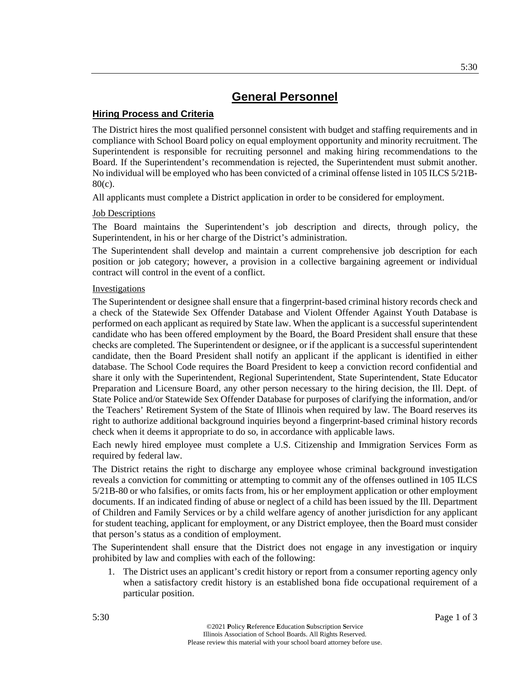### **Hiring Process and Criteria**

The District hires the most qualified personnel consistent with budget and staffing requirements and in compliance with School Board policy on equal employment opportunity and minority recruitment. The Superintendent is responsible for recruiting personnel and making hiring recommendations to the Board. If the Superintendent's recommendation is rejected, the Superintendent must submit another. No individual will be employed who has been convicted of a criminal offense listed in 105 ILCS 5/21B-80(c).

All applicants must complete a District application in order to be considered for employment.

### Job Descriptions

The Board maintains the Superintendent's job description and directs, through policy, the Superintendent, in his or her charge of the District's administration.

The Superintendent shall develop and maintain a current comprehensive job description for each position or job category; however, a provision in a collective bargaining agreement or individual contract will control in the event of a conflict.

### **Investigations**

The Superintendent or designee shall ensure that a fingerprint-based criminal history records check and a check of the Statewide Sex Offender Database and Violent Offender Against Youth Database is performed on each applicant as required by State law. When the applicant is a successful superintendent candidate who has been offered employment by the Board, the Board President shall ensure that these checks are completed. The Superintendent or designee, or if the applicant is a successful superintendent candidate, then the Board President shall notify an applicant if the applicant is identified in either database. The School Code requires the Board President to keep a conviction record confidential and share it only with the Superintendent, Regional Superintendent, State Superintendent, State Educator Preparation and Licensure Board, any other person necessary to the hiring decision, the Ill. Dept. of State Police and/or Statewide Sex Offender Database for purposes of clarifying the information, and/or the Teachers' Retirement System of the State of Illinois when required by law. The Board reserves its right to authorize additional background inquiries beyond a fingerprint-based criminal history records check when it deems it appropriate to do so, in accordance with applicable laws.

Each newly hired employee must complete a U.S. Citizenship and Immigration Services Form as required by federal law.

The District retains the right to discharge any employee whose criminal background investigation reveals a conviction for committing or attempting to commit any of the offenses outlined in 105 ILCS 5/21B-80 or who falsifies, or omits facts from, his or her employment application or other employment documents. If an indicated finding of abuse or neglect of a child has been issued by the Ill. Department of Children and Family Services or by a child welfare agency of another jurisdiction for any applicant for student teaching, applicant for employment, or any District employee, then the Board must consider that person's status as a condition of employment.

The Superintendent shall ensure that the District does not engage in any investigation or inquiry prohibited by law and complies with each of the following:

1. The District uses an applicant's credit history or report from a consumer reporting agency only when a satisfactory credit history is an established bona fide occupational requirement of a particular position.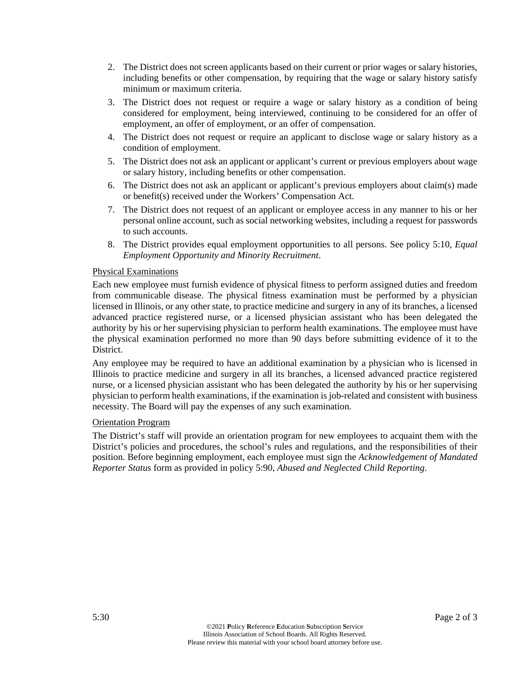- 2. The District does not screen applicants based on their current or prior wages or salary histories, including benefits or other compensation, by requiring that the wage or salary history satisfy minimum or maximum criteria.
- 3. The District does not request or require a wage or salary history as a condition of being considered for employment, being interviewed, continuing to be considered for an offer of employment, an offer of employment, or an offer of compensation.
- 4. The District does not request or require an applicant to disclose wage or salary history as a condition of employment.
- 5. The District does not ask an applicant or applicant's current or previous employers about wage or salary history, including benefits or other compensation.
- 6. The District does not ask an applicant or applicant's previous employers about claim(s) made or benefit(s) received under the Workers' Compensation Act.
- 7. The District does not request of an applicant or employee access in any manner to his or her personal online account, such as social networking websites, including a request for passwords to such accounts.
- 8. The District provides equal employment opportunities to all persons. See policy 5:10, *Equal Employment Opportunity and Minority Recruitment*.

### Physical Examinations

Each new employee must furnish evidence of physical fitness to perform assigned duties and freedom from communicable disease. The physical fitness examination must be performed by a physician licensed in Illinois, or any other state, to practice medicine and surgery in any of its branches, a licensed advanced practice registered nurse, or a licensed physician assistant who has been delegated the authority by his or her supervising physician to perform health examinations. The employee must have the physical examination performed no more than 90 days before submitting evidence of it to the District.

Any employee may be required to have an additional examination by a physician who is licensed in Illinois to practice medicine and surgery in all its branches, a licensed advanced practice registered nurse, or a licensed physician assistant who has been delegated the authority by his or her supervising physician to perform health examinations, if the examination is job-related and consistent with business necessity. The Board will pay the expenses of any such examination.

#### Orientation Program

The District's staff will provide an orientation program for new employees to acquaint them with the District's policies and procedures, the school's rules and regulations, and the responsibilities of their position. Before beginning employment, each employee must sign the *Acknowledgement of Mandated Reporter Status* form as provided in policy 5:90, *Abused and Neglected Child Reporting*.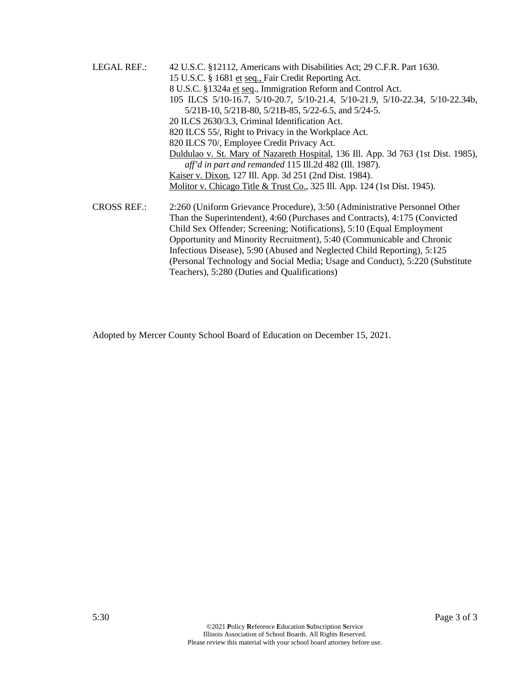LEGAL REF.: 42 U.S.C. §12112, Americans with Disabilities Act; 29 C.F.R. Part 1630. 15 U.S.C. § 1681 et seq., Fair Credit Reporting Act. 8 U.S.C. §1324a et seq., Immigration Reform and Control Act. 105 ILCS 5/10-16.7, 5/10-20.7, 5/10-21.4, 5/10-21.9, 5/10-22.34, 5/10-22.34b, 5/21B-10, 5/21B-80, 5/21B-85, 5/22-6.5, and 5/24-5. 20 ILCS 2630/3.3, Criminal Identification Act. 820 ILCS 55/, Right to Privacy in the Workplace Act. 820 ILCS 70/, Employee Credit Privacy Act. Duldulao v. St. Mary of Nazareth Hospital, 136 Ill. App. 3d 763 (1st Dist. 1985), *aff'd in part and remanded* 115 Ill.2d 482 (Ill. 1987). Kaiser v. Dixon, 127 Ill. App. 3d 251 (2nd Dist. 1984). Molitor v. Chicago Title & Trust Co., 325 Ill. App. 124 (1st Dist. 1945). CROSS REF.: 2:260 (Uniform Grievance Procedure), 3:50 (Administrative Personnel Other Than the Superintendent), 4:60 (Purchases and Contracts), 4:175 (Convicted Child Sex Offender; Screening; Notifications), 5:10 (Equal Employment Opportunity and Minority Recruitment), 5:40 (Communicable and Chronic Infectious Disease), 5:90 (Abused and Neglected Child Reporting), 5:125

(Personal Technology and Social Media; Usage and Conduct), 5:220 (Substitute

Adopted by Mercer County School Board of Education on December 15, 2021.

Teachers), 5:280 (Duties and Qualifications)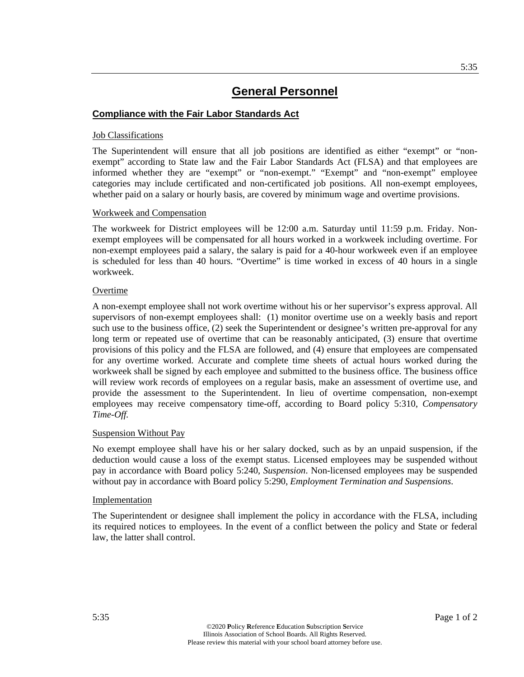### **Compliance with the Fair Labor Standards Act**

#### Job Classifications

The Superintendent will ensure that all job positions are identified as either "exempt" or "nonexempt" according to State law and the Fair Labor Standards Act (FLSA) and that employees are informed whether they are "exempt" or "non-exempt." "Exempt" and "non-exempt" employee categories may include certificated and non-certificated job positions. All non-exempt employees, whether paid on a salary or hourly basis, are covered by minimum wage and overtime provisions.

#### Workweek and Compensation

The workweek for District employees will be 12:00 a.m. Saturday until 11:59 p.m. Friday. Nonexempt employees will be compensated for all hours worked in a workweek including overtime. For non-exempt employees paid a salary, the salary is paid for a 40-hour workweek even if an employee is scheduled for less than 40 hours. "Overtime" is time worked in excess of 40 hours in a single workweek.

#### Overtime

A non-exempt employee shall not work overtime without his or her supervisor's express approval. All supervisors of non-exempt employees shall: (1) monitor overtime use on a weekly basis and report such use to the business office, (2) seek the Superintendent or designee's written pre-approval for any long term or repeated use of overtime that can be reasonably anticipated, (3) ensure that overtime provisions of this policy and the FLSA are followed, and (4) ensure that employees are compensated for any overtime worked. Accurate and complete time sheets of actual hours worked during the workweek shall be signed by each employee and submitted to the business office. The business office will review work records of employees on a regular basis, make an assessment of overtime use, and provide the assessment to the Superintendent. In lieu of overtime compensation, non-exempt employees may receive compensatory time-off, according to Board policy 5:310, *Compensatory Time-Off.*

#### Suspension Without Pay

No exempt employee shall have his or her salary docked, such as by an unpaid suspension, if the deduction would cause a loss of the exempt status. Licensed employees may be suspended without pay in accordance with Board policy 5:240, *Suspension*. Non-licensed employees may be suspended without pay in accordance with Board policy 5:290, *Employment Termination and Suspensions*.

#### Implementation

The Superintendent or designee shall implement the policy in accordance with the FLSA, including its required notices to employees. In the event of a conflict between the policy and State or federal law, the latter shall control.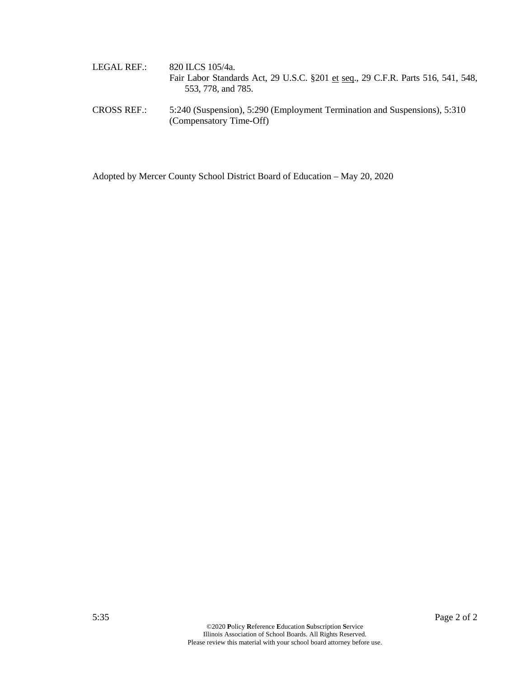| LEGAL REF.: | 820 ILCS 105/4a.                                                                 |
|-------------|----------------------------------------------------------------------------------|
|             | Fair Labor Standards Act, 29 U.S.C. §201 et seq., 29 C.F.R. Parts 516, 541, 548, |
|             | 553, 778, and 785.                                                               |

CROSS REF.: 5:240 (Suspension), 5:290 (Employment Termination and Suspensions), 5:310 (Compensatory Time-Off)

Adopted by Mercer County School District Board of Education – May 20, 2020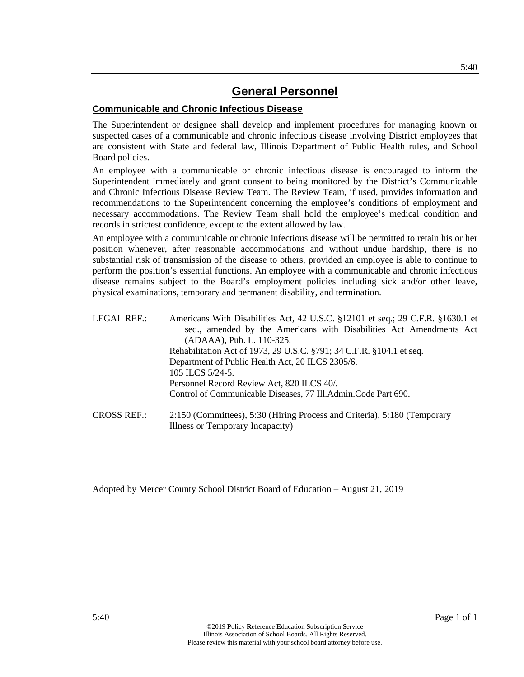### **Communicable and Chronic Infectious Disease**

The Superintendent or designee shall develop and implement procedures for managing known or suspected cases of a communicable and chronic infectious disease involving District employees that are consistent with State and federal law, Illinois Department of Public Health rules, and School Board policies.

An employee with a communicable or chronic infectious disease is encouraged to inform the Superintendent immediately and grant consent to being monitored by the District's Communicable and Chronic Infectious Disease Review Team. The Review Team, if used, provides information and recommendations to the Superintendent concerning the employee's conditions of employment and necessary accommodations. The Review Team shall hold the employee's medical condition and records in strictest confidence, except to the extent allowed by law.

An employee with a communicable or chronic infectious disease will be permitted to retain his or her position whenever, after reasonable accommodations and without undue hardship, there is no substantial risk of transmission of the disease to others, provided an employee is able to continue to perform the position's essential functions. An employee with a communicable and chronic infectious disease remains subject to the Board's employment policies including sick and/or other leave, physical examinations, temporary and permanent disability, and termination.

| LEGAL REF.: | Americans With Disabilities Act, 42 U.S.C. §12101 et seq.; 29 C.F.R. §1630.1 et<br>seq., amended by the Americans with Disabilities Act Amendments Act |
|-------------|--------------------------------------------------------------------------------------------------------------------------------------------------------|
|             | (ADAAA), Pub. L. 110-325.                                                                                                                              |
|             | Rehabilitation Act of 1973, 29 U.S.C. §791; 34 C.F.R. §104.1 et seq.                                                                                   |
|             | Department of Public Health Act, 20 ILCS 2305/6.                                                                                                       |
|             | 105 ILCS 5/24-5.                                                                                                                                       |
|             | Personnel Record Review Act, 820 ILCS 40/.                                                                                                             |
|             | Control of Communicable Diseases, 77 Ill.Admin.Code Part 690.                                                                                          |
| CROSCBFE    | $2.150$ (Committees) $5.30$ (Hiring Process and Criteria) $5.180$ (Temporary                                                                           |

CROSS REF.: 2:150 (Committees), 5:30 (Hiring Process and Criteria), 5:180 (Temporary Illness or Temporary Incapacity)

Adopted by Mercer County School District Board of Education – August 21, 2019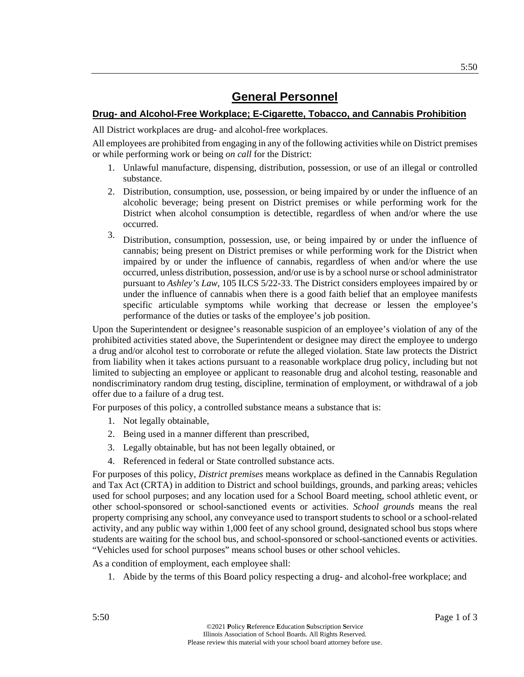### **Drug- and Alcohol-Free Workplace; E-Cigarette, Tobacco, and Cannabis Prohibition**

All District workplaces are drug- and alcohol-free workplaces.

All employees are prohibited from engaging in any of the following activities while on District premises or while performing work or being *on call* for the District:

- 1. Unlawful manufacture, dispensing, distribution, possession, or use of an illegal or controlled substance.
- 2. Distribution, consumption, use, possession, or being impaired by or under the influence of an alcoholic beverage; being present on District premises or while performing work for the District when alcohol consumption is detectible, regardless of when and/or where the use occurred.
- 3. Distribution, consumption, possession, use, or being impaired by or under the influence of cannabis; being present on District premises or while performing work for the District when impaired by or under the influence of cannabis, regardless of when and/or where the use occurred, unless distribution, possession, and/or use is by a school nurse or school administrator pursuant to *Ashley's Law*, 105 ILCS 5/22-33. The District considers employees impaired by or under the influence of cannabis when there is a good faith belief that an employee manifests specific articulable symptoms while working that decrease or lessen the employee's performance of the duties or tasks of the employee's job position.

Upon the Superintendent or designee's reasonable suspicion of an employee's violation of any of the prohibited activities stated above, the Superintendent or designee may direct the employee to undergo a drug and/or alcohol test to corroborate or refute the alleged violation. State law protects the District from liability when it takes actions pursuant to a reasonable workplace drug policy, including but not limited to subjecting an employee or applicant to reasonable drug and alcohol testing, reasonable and nondiscriminatory random drug testing, discipline, termination of employment, or withdrawal of a job offer due to a failure of a drug test.

For purposes of this policy, a controlled substance means a substance that is:

- 1. Not legally obtainable,
- 2. Being used in a manner different than prescribed,
- 3. Legally obtainable, but has not been legally obtained, or
- 4. Referenced in federal or State controlled substance acts.

For purposes of this policy, *District premises* means workplace as defined in the Cannabis Regulation and Tax Act (CRTA) in addition to District and school buildings, grounds, and parking areas; vehicles used for school purposes; and any location used for a School Board meeting, school athletic event, or other school-sponsored or school-sanctioned events or activities. *School grounds* means the real property comprising any school, any conveyance used to transport students to school or a school-related activity, and any public way within 1,000 feet of any school ground, designated school bus stops where students are waiting for the school bus, and school-sponsored or school-sanctioned events or activities. "Vehicles used for school purposes" means school buses or other school vehicles.

As a condition of employment, each employee shall:

1. Abide by the terms of this Board policy respecting a drug- and alcohol-free workplace; and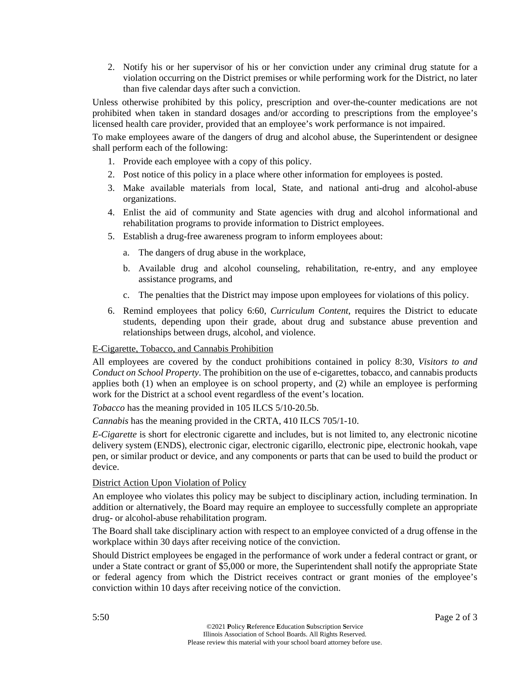2. Notify his or her supervisor of his or her conviction under any criminal drug statute for a violation occurring on the District premises or while performing work for the District, no later than five calendar days after such a conviction.

Unless otherwise prohibited by this policy, prescription and over-the-counter medications are not prohibited when taken in standard dosages and/or according to prescriptions from the employee's licensed health care provider, provided that an employee's work performance is not impaired.

To make employees aware of the dangers of drug and alcohol abuse, the Superintendent or designee shall perform each of the following:

- 1. Provide each employee with a copy of this policy.
- 2. Post notice of this policy in a place where other information for employees is posted.
- 3. Make available materials from local, State, and national anti-drug and alcohol-abuse organizations.
- 4. Enlist the aid of community and State agencies with drug and alcohol informational and rehabilitation programs to provide information to District employees.
- 5. Establish a drug-free awareness program to inform employees about:
	- a. The dangers of drug abuse in the workplace,
	- b. Available drug and alcohol counseling, rehabilitation, re-entry, and any employee assistance programs, and
	- c. The penalties that the District may impose upon employees for violations of this policy.
- 6. Remind employees that policy 6:60, *Curriculum Content*, requires the District to educate students, depending upon their grade, about drug and substance abuse prevention and relationships between drugs, alcohol, and violence.

### E-Cigarette, Tobacco, and Cannabis Prohibition

All employees are covered by the conduct prohibitions contained in policy 8:30, *Visitors to and Conduct on School Property*. The prohibition on the use of e-cigarettes, tobacco, and cannabis products applies both (1) when an employee is on school property, and (2) while an employee is performing work for the District at a school event regardless of the event's location.

*Tobacco* has the meaning provided in 105 ILCS 5/10-20.5b.

*Cannabis* has the meaning provided in the CRTA, 410 ILCS 705/1-10.

*E-Cigarette* is short for electronic cigarette and includes, but is not limited to, any electronic nicotine delivery system (ENDS), electronic cigar, electronic cigarillo, electronic pipe, electronic hookah, vape pen, or similar product or device, and any components or parts that can be used to build the product or device.

### District Action Upon Violation of Policy

An employee who violates this policy may be subject to disciplinary action, including termination. In addition or alternatively, the Board may require an employee to successfully complete an appropriate drug- or alcohol-abuse rehabilitation program.

The Board shall take disciplinary action with respect to an employee convicted of a drug offense in the workplace within 30 days after receiving notice of the conviction.

Should District employees be engaged in the performance of work under a federal contract or grant, or under a State contract or grant of \$5,000 or more, the Superintendent shall notify the appropriate State or federal agency from which the District receives contract or grant monies of the employee's conviction within 10 days after receiving notice of the conviction.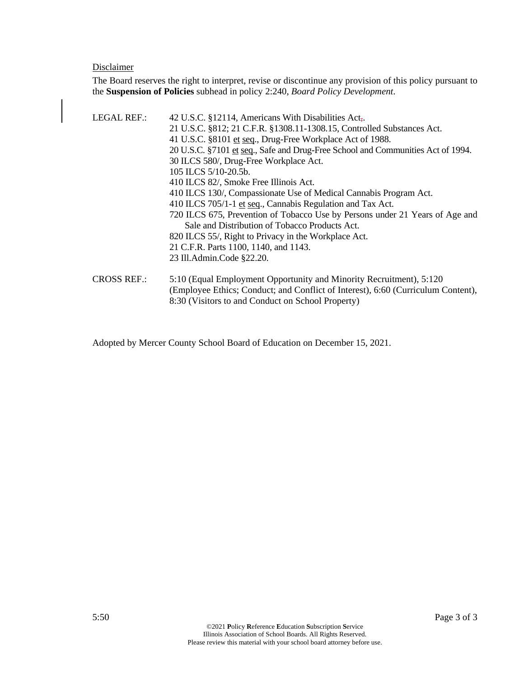### Disclaimer

The Board reserves the right to interpret, revise or discontinue any provision of this policy pursuant to the **Suspension of Policies** subhead in policy 2:240, *Board Policy Development*.

| LEGAL REF.:        | 42 U.S.C. §12114, Americans With Disabilities Act.                               |
|--------------------|----------------------------------------------------------------------------------|
|                    | 21 U.S.C. §812; 21 C.F.R. §1308.11-1308.15, Controlled Substances Act.           |
|                    | 41 U.S.C. §8101 et seq., Drug-Free Workplace Act of 1988.                        |
|                    | 20 U.S.C. §7101 et seq., Safe and Drug-Free School and Communities Act of 1994.  |
|                    | 30 ILCS 580/, Drug-Free Workplace Act.                                           |
|                    | 105 ILCS 5/10-20.5b.                                                             |
|                    | 410 ILCS 82/, Smoke Free Illinois Act.                                           |
|                    | 410 ILCS 130/, Compassionate Use of Medical Cannabis Program Act.                |
|                    | 410 ILCS 705/1-1 et seq., Cannabis Regulation and Tax Act.                       |
|                    | 720 ILCS 675, Prevention of Tobacco Use by Persons under 21 Years of Age and     |
|                    | Sale and Distribution of Tobacco Products Act.                                   |
|                    | 820 ILCS 55/, Right to Privacy in the Workplace Act.                             |
|                    | 21 C.F.R. Parts 1100, 1140, and 1143.                                            |
|                    | 23 Ill.Admin.Code §22.20.                                                        |
| <b>CROSS REF.:</b> | 5:10 (Equal Employment Opportunity and Minority Recruitment), 5:120              |
|                    | (Employee Ethics; Conduct; and Conflict of Interest), 6:60 (Curriculum Content), |
|                    | 8:30 (Visitors to and Conduct on School Property)                                |

Adopted by Mercer County School Board of Education on December 15, 2021.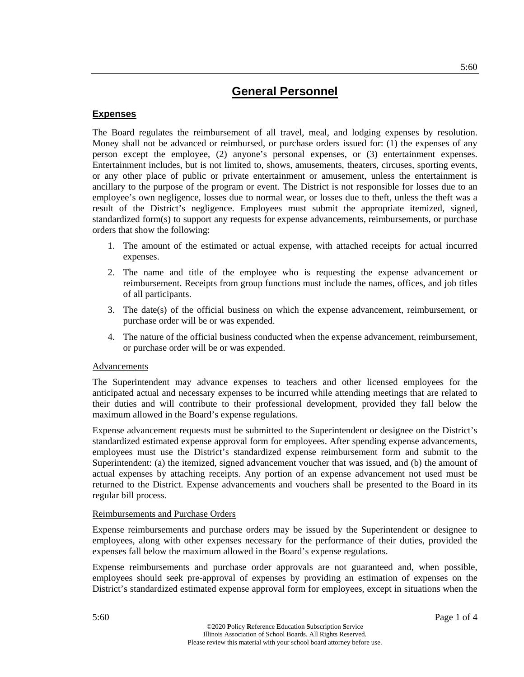### **Expenses**

The Board regulates the reimbursement of all travel, meal, and lodging expenses by resolution. Money shall not be advanced or reimbursed, or purchase orders issued for: (1) the expenses of any person except the employee, (2) anyone's personal expenses, or (3) entertainment expenses. Entertainment includes, but is not limited to, shows, amusements, theaters, circuses, sporting events, or any other place of public or private entertainment or amusement, unless the entertainment is ancillary to the purpose of the program or event. The District is not responsible for losses due to an employee's own negligence, losses due to normal wear, or losses due to theft, unless the theft was a result of the District's negligence. Employees must submit the appropriate itemized, signed, standardized form(s) to support any requests for expense advancements, reimbursements, or purchase orders that show the following:

- 1. The amount of the estimated or actual expense, with attached receipts for actual incurred expenses.
- 2. The name and title of the employee who is requesting the expense advancement or reimbursement. Receipts from group functions must include the names, offices, and job titles of all participants.
- 3. The date(s) of the official business on which the expense advancement, reimbursement, or purchase order will be or was expended.
- 4. The nature of the official business conducted when the expense advancement, reimbursement, or purchase order will be or was expended.

#### Advancements

The Superintendent may advance expenses to teachers and other licensed employees for the anticipated actual and necessary expenses to be incurred while attending meetings that are related to their duties and will contribute to their professional development, provided they fall below the maximum allowed in the Board's expense regulations.

Expense advancement requests must be submitted to the Superintendent or designee on the District's standardized estimated expense approval form for employees. After spending expense advancements, employees must use the District's standardized expense reimbursement form and submit to the Superintendent: (a) the itemized, signed advancement voucher that was issued, and (b) the amount of actual expenses by attaching receipts. Any portion of an expense advancement not used must be returned to the District. Expense advancements and vouchers shall be presented to the Board in its regular bill process.

### Reimbursements and Purchase Orders

Expense reimbursements and purchase orders may be issued by the Superintendent or designee to employees, along with other expenses necessary for the performance of their duties, provided the expenses fall below the maximum allowed in the Board's expense regulations.

Expense reimbursements and purchase order approvals are not guaranteed and, when possible, employees should seek pre-approval of expenses by providing an estimation of expenses on the District's standardized estimated expense approval form for employees, except in situations when the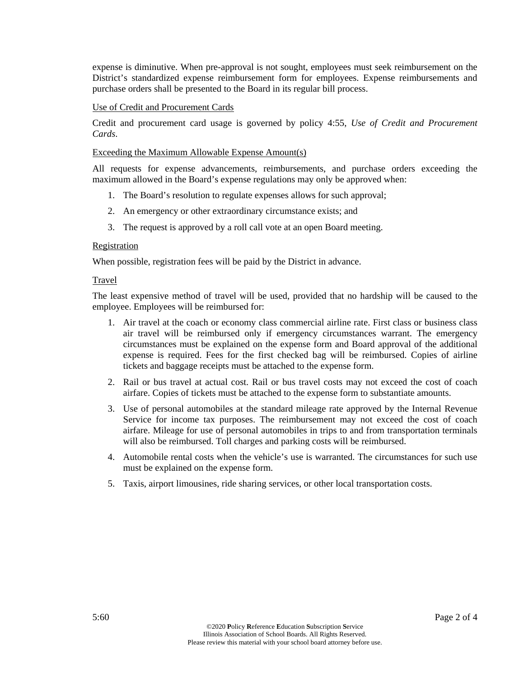expense is diminutive. When pre-approval is not sought, employees must seek reimbursement on the District's standardized expense reimbursement form for employees. Expense reimbursements and purchase orders shall be presented to the Board in its regular bill process.

#### Use of Credit and Procurement Cards

Credit and procurement card usage is governed by policy 4:55, *Use of Credit and Procurement Cards*.

#### Exceeding the Maximum Allowable Expense Amount(s)

All requests for expense advancements, reimbursements, and purchase orders exceeding the maximum allowed in the Board's expense regulations may only be approved when:

- 1. The Board's resolution to regulate expenses allows for such approval;
- 2. An emergency or other extraordinary circumstance exists; and
- 3. The request is approved by a roll call vote at an open Board meeting.

#### Registration

When possible, registration fees will be paid by the District in advance.

#### Travel

The least expensive method of travel will be used, provided that no hardship will be caused to the employee. Employees will be reimbursed for:

- 1. Air travel at the coach or economy class commercial airline rate. First class or business class air travel will be reimbursed only if emergency circumstances warrant. The emergency circumstances must be explained on the expense form and Board approval of the additional expense is required. Fees for the first checked bag will be reimbursed. Copies of airline tickets and baggage receipts must be attached to the expense form.
- 2. Rail or bus travel at actual cost. Rail or bus travel costs may not exceed the cost of coach airfare. Copies of tickets must be attached to the expense form to substantiate amounts.
- 3. Use of personal automobiles at the standard mileage rate approved by the Internal Revenue Service for income tax purposes. The reimbursement may not exceed the cost of coach airfare. Mileage for use of personal automobiles in trips to and from transportation terminals will also be reimbursed. Toll charges and parking costs will be reimbursed.
- 4. Automobile rental costs when the vehicle's use is warranted. The circumstances for such use must be explained on the expense form.
- 5. Taxis, airport limousines, ride sharing services, or other local transportation costs.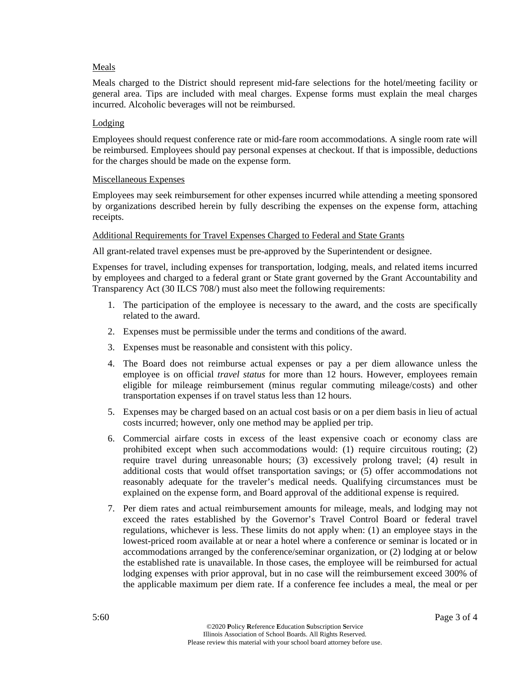### Meals

Meals charged to the District should represent mid-fare selections for the hotel/meeting facility or general area. Tips are included with meal charges. Expense forms must explain the meal charges incurred. Alcoholic beverages will not be reimbursed.

#### Lodging

Employees should request conference rate or mid-fare room accommodations. A single room rate will be reimbursed. Employees should pay personal expenses at checkout. If that is impossible, deductions for the charges should be made on the expense form.

#### Miscellaneous Expenses

Employees may seek reimbursement for other expenses incurred while attending a meeting sponsored by organizations described herein by fully describing the expenses on the expense form, attaching receipts.

#### Additional Requirements for Travel Expenses Charged to Federal and State Grants

All grant-related travel expenses must be pre-approved by the Superintendent or designee.

Expenses for travel, including expenses for transportation, lodging, meals, and related items incurred by employees and charged to a federal grant or State grant governed by the Grant Accountability and Transparency Act (30 ILCS 708/) must also meet the following requirements:

- 1. The participation of the employee is necessary to the award, and the costs are specifically related to the award.
- 2. Expenses must be permissible under the terms and conditions of the award.
- 3. Expenses must be reasonable and consistent with this policy.
- 4. The Board does not reimburse actual expenses or pay a per diem allowance unless the employee is on official *travel status* for more than 12 hours. However, employees remain eligible for mileage reimbursement (minus regular commuting mileage/costs) and other transportation expenses if on travel status less than 12 hours.
- 5. Expenses may be charged based on an actual cost basis or on a per diem basis in lieu of actual costs incurred; however, only one method may be applied per trip.
- 6. Commercial airfare costs in excess of the least expensive coach or economy class are prohibited except when such accommodations would: (1) require circuitous routing; (2) require travel during unreasonable hours; (3) excessively prolong travel; (4) result in additional costs that would offset transportation savings; or (5) offer accommodations not reasonably adequate for the traveler's medical needs. Qualifying circumstances must be explained on the expense form, and Board approval of the additional expense is required.
- 7. Per diem rates and actual reimbursement amounts for mileage, meals, and lodging may not exceed the rates established by the Governor's Travel Control Board or federal travel regulations, whichever is less. These limits do not apply when: (1) an employee stays in the lowest-priced room available at or near a hotel where a conference or seminar is located or in accommodations arranged by the conference/seminar organization, or (2) lodging at or below the established rate is unavailable. In those cases, the employee will be reimbursed for actual lodging expenses with prior approval, but in no case will the reimbursement exceed 300% of the applicable maximum per diem rate. If a conference fee includes a meal, the meal or per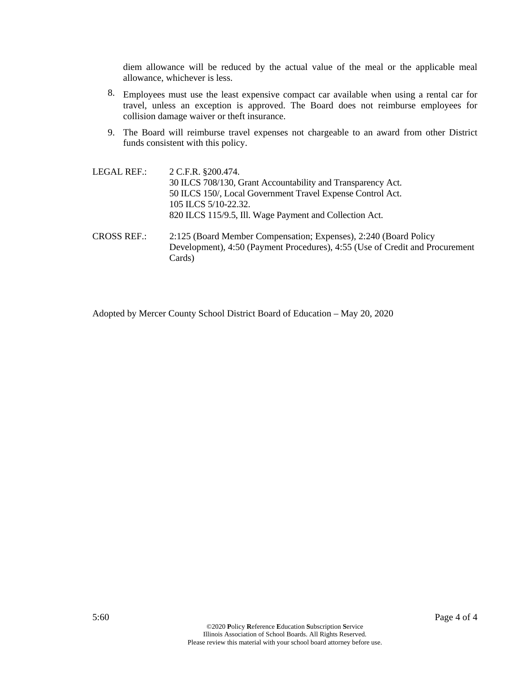diem allowance will be reduced by the actual value of the meal or the applicable meal allowance, whichever is less.

- 8. Employees must use the least expensive compact car available when using a rental car for travel, unless an exception is approved. The Board does not reimburse employees for collision damage waiver or theft insurance.
- 9. The Board will reimburse travel expenses not chargeable to an award from other District funds consistent with this policy.

| LEGAL REF.: | 2 C.F.R. §200.474.<br>30 ILCS 708/130, Grant Accountability and Transparency Act.<br>50 ILCS 150/, Local Government Travel Expense Control Act.<br>105 ILCS 5/10-22.32.<br>820 ILCS 115/9.5, Ill. Wage Payment and Collection Act. |
|-------------|------------------------------------------------------------------------------------------------------------------------------------------------------------------------------------------------------------------------------------|
| CROSS REF.: | 2:125 (Board Member Compensation; Expenses), 2:240 (Board Policy<br>Development), 4:50 (Payment Procedures), 4:55 (Use of Credit and Procurement<br>Cards)                                                                         |

Adopted by Mercer County School District Board of Education – May 20, 2020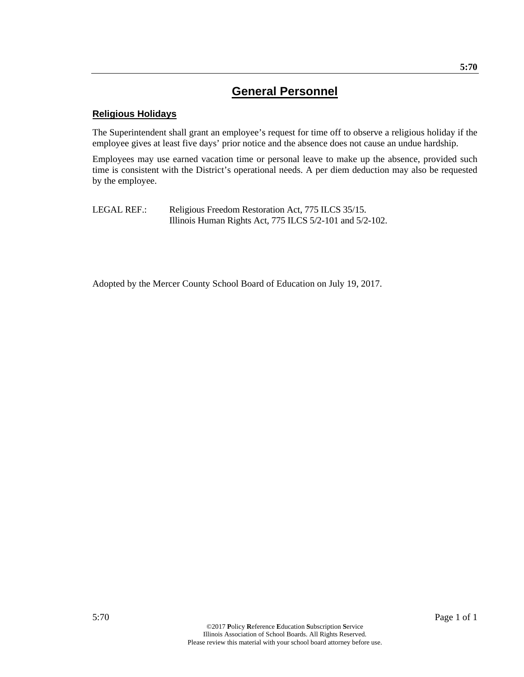### **Religious Holidays**

The Superintendent shall grant an employee's request for time off to observe a religious holiday if the employee gives at least five days' prior notice and the absence does not cause an undue hardship.

Employees may use earned vacation time or personal leave to make up the absence, provided such time is consistent with the District's operational needs. A per diem deduction may also be requested by the employee.

LEGAL REF.: Religious Freedom Restoration Act, 775 ILCS 35/15. Illinois Human Rights Act, 775 ILCS 5/2-101 and 5/2-102.

Adopted by the Mercer County School Board of Education on July 19, 2017.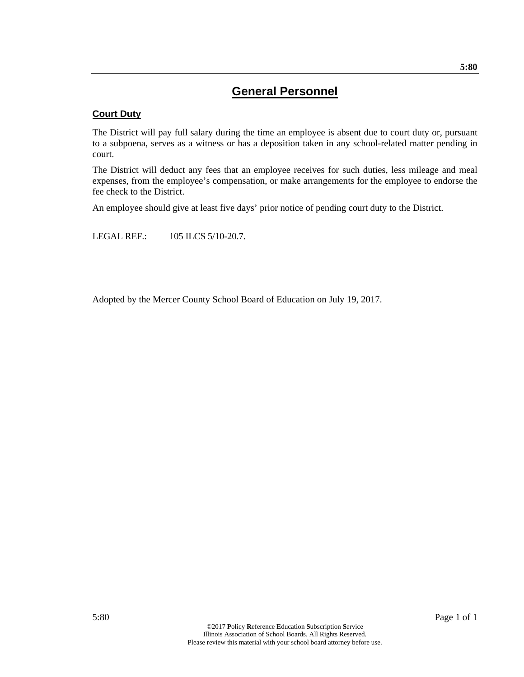### **Court Duty**

The District will pay full salary during the time an employee is absent due to court duty or, pursuant to a subpoena, serves as a witness or has a deposition taken in any school-related matter pending in court.

The District will deduct any fees that an employee receives for such duties, less mileage and meal expenses, from the employee's compensation, or make arrangements for the employee to endorse the fee check to the District.

An employee should give at least five days' prior notice of pending court duty to the District.

LEGAL REF.: 105 ILCS 5/10-20.7.

Adopted by the Mercer County School Board of Education on July 19, 2017.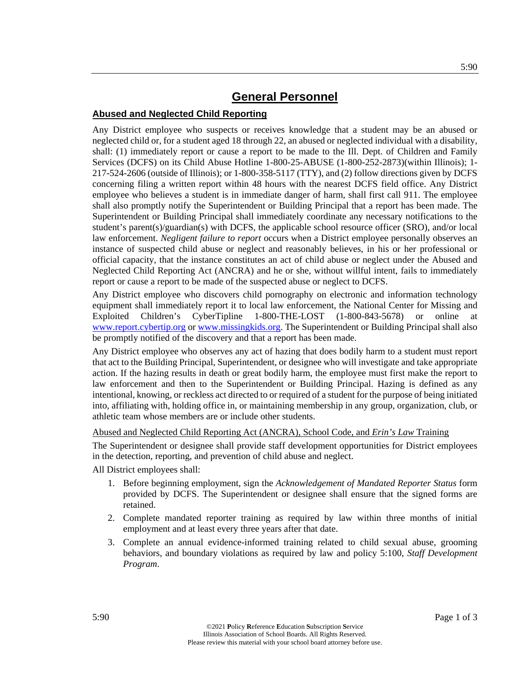### **Abused and Neglected Child Reporting**

Any District employee who suspects or receives knowledge that a student may be an abused or neglected child or, for a student aged 18 through 22, an abused or neglected individual with a disability, shall: (1) immediately report or cause a report to be made to the Ill. Dept. of Children and Family Services (DCFS) on its Child Abuse Hotline 1-800-25-ABUSE (1-800-252-2873)(within Illinois); 1- 217-524-2606 (outside of Illinois); or 1-800-358-5117 (TTY), and (2) follow directions given by DCFS concerning filing a written report within 48 hours with the nearest DCFS field office. Any District employee who believes a student is in immediate danger of harm, shall first call 911. The employee shall also promptly notify the Superintendent or Building Principal that a report has been made. The Superintendent or Building Principal shall immediately coordinate any necessary notifications to the student's parent(s)/guardian(s) with DCFS, the applicable school resource officer (SRO), and/or local law enforcement. *Negligent failure to report* occurs when a District employee personally observes an instance of suspected child abuse or neglect and reasonably believes, in his or her professional or official capacity, that the instance constitutes an act of child abuse or neglect under the Abused and Neglected Child Reporting Act (ANCRA) and he or she, without willful intent, fails to immediately report or cause a report to be made of the suspected abuse or neglect to DCFS.

Any District employee who discovers child pornography on electronic and information technology equipment shall immediately report it to local law enforcement, the National Center for Missing and Exploited Children's CyberTipline 1-800-THE-LOST (1-800-843-5678) or online at www.report.cybertip.org or www.missingkids.org. The Superintendent or Building Principal shall also be promptly notified of the discovery and that a report has been made.

Any District employee who observes any act of hazing that does bodily harm to a student must report that act to the Building Principal, Superintendent, or designee who will investigate and take appropriate action. If the hazing results in death or great bodily harm, the employee must first make the report to law enforcement and then to the Superintendent or Building Principal. Hazing is defined as any intentional, knowing, or reckless act directed to or required of a student for the purpose of being initiated into, affiliating with, holding office in, or maintaining membership in any group, organization, club, or athletic team whose members are or include other students.

Abused and Neglected Child Reporting Act (ANCRA), School Code, and *Erin's Law* Training

The Superintendent or designee shall provide staff development opportunities for District employees in the detection, reporting, and prevention of child abuse and neglect.

All District employees shall:

- 1. Before beginning employment, sign the *Acknowledgement of Mandated Reporter Status* form provided by DCFS. The Superintendent or designee shall ensure that the signed forms are retained.
- 2. Complete mandated reporter training as required by law within three months of initial employment and at least every three years after that date.
- 3. Complete an annual evidence-informed training related to child sexual abuse, grooming behaviors, and boundary violations as required by law and policy 5:100, *Staff Development Program*.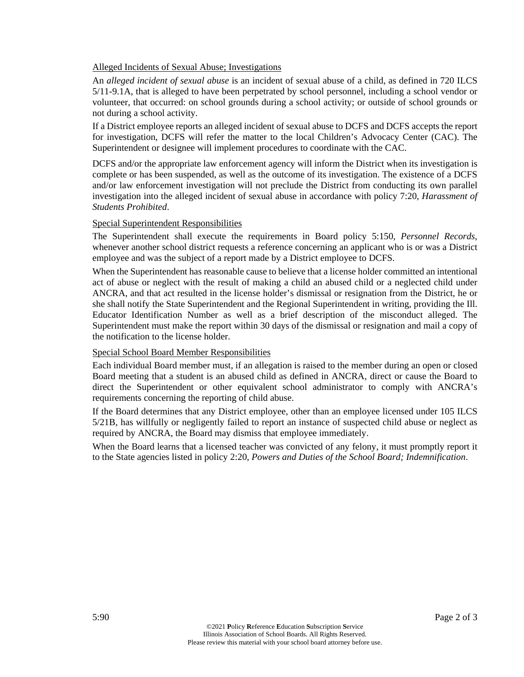#### Alleged Incidents of Sexual Abuse; Investigations

An *alleged incident of sexual abuse* is an incident of sexual abuse of a child, as defined in 720 ILCS 5/11-9.1A, that is alleged to have been perpetrated by school personnel, including a school vendor or volunteer, that occurred: on school grounds during a school activity; or outside of school grounds or not during a school activity.

If a District employee reports an alleged incident of sexual abuse to DCFS and DCFS accepts the report for investigation, DCFS will refer the matter to the local Children's Advocacy Center (CAC). The Superintendent or designee will implement procedures to coordinate with the CAC.

DCFS and/or the appropriate law enforcement agency will inform the District when its investigation is complete or has been suspended, as well as the outcome of its investigation. The existence of a DCFS and/or law enforcement investigation will not preclude the District from conducting its own parallel investigation into the alleged incident of sexual abuse in accordance with policy 7:20, *Harassment of Students Prohibited*.

#### Special Superintendent Responsibilities

The Superintendent shall execute the requirements in Board policy 5:150, *Personnel Records*, whenever another school district requests a reference concerning an applicant who is or was a District employee and was the subject of a report made by a District employee to DCFS.

When the Superintendent has reasonable cause to believe that a license holder committed an intentional act of abuse or neglect with the result of making a child an abused child or a neglected child under ANCRA, and that act resulted in the license holder's dismissal or resignation from the District, he or she shall notify the State Superintendent and the Regional Superintendent in writing, providing the Ill. Educator Identification Number as well as a brief description of the misconduct alleged. The Superintendent must make the report within 30 days of the dismissal or resignation and mail a copy of the notification to the license holder.

#### Special School Board Member Responsibilities

Each individual Board member must, if an allegation is raised to the member during an open or closed Board meeting that a student is an abused child as defined in ANCRA, direct or cause the Board to direct the Superintendent or other equivalent school administrator to comply with ANCRA's requirements concerning the reporting of child abuse.

If the Board determines that any District employee, other than an employee licensed under 105 ILCS 5/21B, has willfully or negligently failed to report an instance of suspected child abuse or neglect as required by ANCRA, the Board may dismiss that employee immediately.

When the Board learns that a licensed teacher was convicted of any felony, it must promptly report it to the State agencies listed in policy 2:20, *Powers and Duties of the School Board; Indemnification*.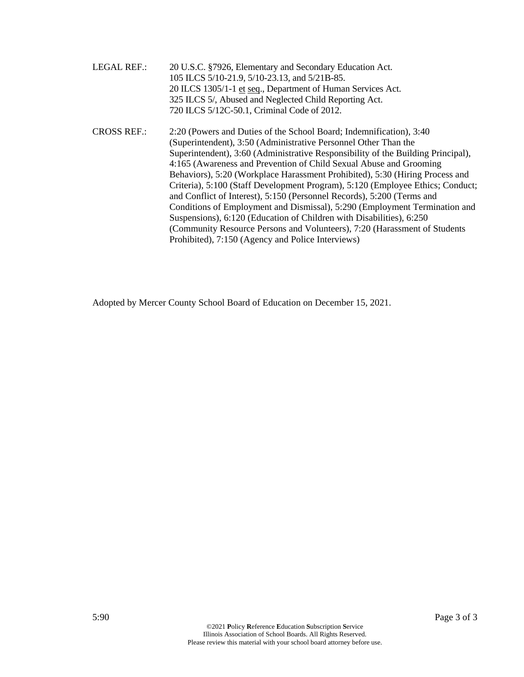| <b>LEGAL REF.:</b> | 20 U.S.C. §7926, Elementary and Secondary Education Act.                         |
|--------------------|----------------------------------------------------------------------------------|
|                    | 105 ILCS 5/10-21.9, 5/10-23.13, and 5/21B-85.                                    |
|                    | 20 ILCS 1305/1-1 et seq., Department of Human Services Act.                      |
|                    | 325 ILCS 5/, Abused and Neglected Child Reporting Act.                           |
|                    | 720 ILCS 5/12C-50.1, Criminal Code of 2012.                                      |
| <b>CROSS REF.:</b> | 2:20 (Powers and Duties of the School Board; Indemnification), 3:40              |
|                    | (Superintendent), 3:50 (Administrative Personnel Other Than the                  |
|                    | Superintendent), 3:60 (Administrative Responsibility of the Building Principal), |
|                    | 4:165 (Awareness and Prevention of Child Sexual Abuse and Grooming               |
|                    | Behaviors), 5:20 (Workplace Harassment Prohibited), 5:30 (Hiring Process and     |
|                    | Criteria), 5:100 (Staff Development Program), 5:120 (Employee Ethics; Conduct;   |
|                    | and Conflict of Interest), 5:150 (Personnel Records), 5:200 (Terms and           |
|                    | Conditions of Employment and Dismissal), 5:290 (Employment Termination and       |
|                    | Suspensions), 6:120 (Education of Children with Disabilities), 6:250             |
|                    | (Community Resource Persons and Volunteers), 7:20 (Harassment of Students        |
|                    | Prohibited), 7:150 (Agency and Police Interviews)                                |

Adopted by Mercer County School Board of Education on December 15, 2021.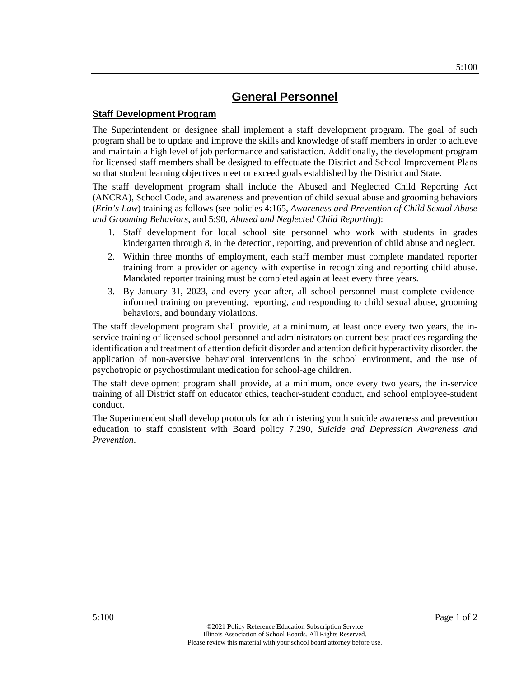#### **Staff Development Program**

The Superintendent or designee shall implement a staff development program. The goal of such program shall be to update and improve the skills and knowledge of staff members in order to achieve and maintain a high level of job performance and satisfaction. Additionally, the development program for licensed staff members shall be designed to effectuate the District and School Improvement Plans so that student learning objectives meet or exceed goals established by the District and State.

The staff development program shall include the Abused and Neglected Child Reporting Act (ANCRA), School Code, and awareness and prevention of child sexual abuse and grooming behaviors (*Erin's Law*) training as follows (see policies 4:165, *Awareness and Prevention of Child Sexual Abuse and Grooming Behaviors*, and 5:90, *Abused and Neglected Child Reporting*):

- 1. Staff development for local school site personnel who work with students in grades kindergarten through 8, in the detection, reporting, and prevention of child abuse and neglect.
- 2. Within three months of employment, each staff member must complete mandated reporter training from a provider or agency with expertise in recognizing and reporting child abuse. Mandated reporter training must be completed again at least every three years.
- 3. By January 31, 2023, and every year after, all school personnel must complete evidenceinformed training on preventing, reporting, and responding to child sexual abuse, grooming behaviors, and boundary violations.

The staff development program shall provide, at a minimum, at least once every two years, the inservice training of licensed school personnel and administrators on current best practices regarding the identification and treatment of attention deficit disorder and attention deficit hyperactivity disorder, the application of non-aversive behavioral interventions in the school environment, and the use of psychotropic or psychostimulant medication for school-age children.

The staff development program shall provide, at a minimum, once every two years, the in-service training of all District staff on educator ethics, teacher-student conduct, and school employee-student conduct.

The Superintendent shall develop protocols for administering youth suicide awareness and prevention education to staff consistent with Board policy 7:290, *Suicide and Depression Awareness and Prevention*.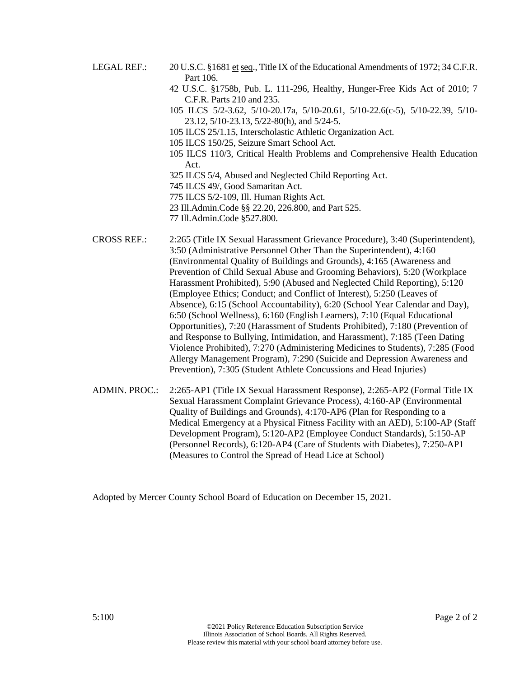- LEGAL REF.: 20 U.S.C. §1681 et seq., Title IX of the Educational Amendments of 1972; 34 C.F.R. Part 106.
	- 42 U.S.C. §1758b, Pub. L. 111-296, Healthy, Hunger-Free Kids Act of 2010; 7 C.F.R. Parts 210 and 235.
	- 105 ILCS 5/2-3.62, 5/10-20.17a, 5/10-20.61, 5/10-22.6(c-5), 5/10-22.39, 5/10- 23.12, 5/10-23.13, 5/22-80(h), and 5/24-5.
	- 105 ILCS 25/1.15, Interscholastic Athletic Organization Act.
	- 105 ILCS 150/25, Seizure Smart School Act.
	- 105 ILCS 110/3, Critical Health Problems and Comprehensive Health Education Act.
	- 325 ILCS 5/4, Abused and Neglected Child Reporting Act.
	- 745 ILCS 49/, Good Samaritan Act.
	- 775 ILCS 5/2-109, Ill. Human Rights Act.
	- 23 Ill.Admin.Code §§ 22.20, 226.800, and Part 525.
	- 77 Ill.Admin.Code §527.800.

CROSS REF.: 2:265 (Title IX Sexual Harassment Grievance Procedure), 3:40 (Superintendent), 3:50 (Administrative Personnel Other Than the Superintendent), 4:160 (Environmental Quality of Buildings and Grounds), 4:165 (Awareness and Prevention of Child Sexual Abuse and Grooming Behaviors), 5:20 (Workplace Harassment Prohibited), 5:90 (Abused and Neglected Child Reporting), 5:120 (Employee Ethics; Conduct; and Conflict of Interest), 5:250 (Leaves of Absence), 6:15 (School Accountability), 6:20 (School Year Calendar and Day), 6:50 (School Wellness), 6:160 (English Learners), 7:10 (Equal Educational Opportunities), 7:20 (Harassment of Students Prohibited), 7:180 (Prevention of and Response to Bullying, Intimidation, and Harassment), 7:185 (Teen Dating Violence Prohibited), 7:270 (Administering Medicines to Students), 7:285 (Food Allergy Management Program), 7:290 (Suicide and Depression Awareness and Prevention), 7:305 (Student Athlete Concussions and Head Injuries)

ADMIN. PROC.: 2:265-AP1 (Title IX Sexual Harassment Response), 2:265-AP2 (Formal Title IX Sexual Harassment Complaint Grievance Process), 4:160-AP (Environmental Quality of Buildings and Grounds), 4:170-AP6 (Plan for Responding to a Medical Emergency at a Physical Fitness Facility with an AED), 5:100-AP (Staff Development Program), 5:120-AP2 (Employee Conduct Standards), 5:150-AP (Personnel Records), 6:120-AP4 (Care of Students with Diabetes), 7:250-AP1 (Measures to Control the Spread of Head Lice at School)

Adopted by Mercer County School Board of Education on December 15, 2021.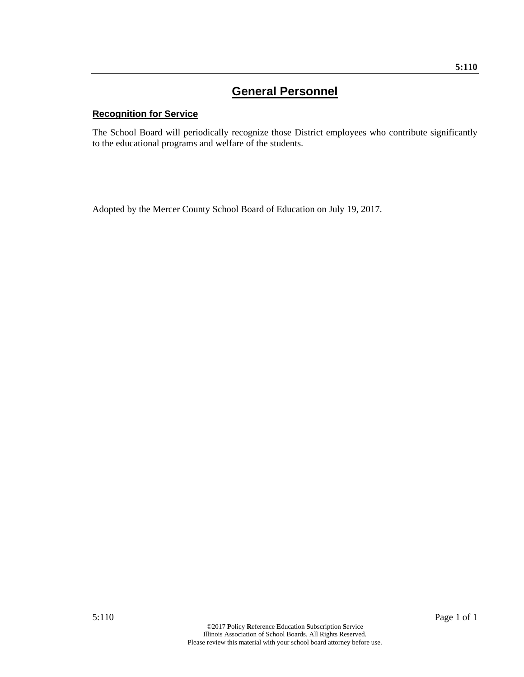### **Recognition for Service**

The School Board will periodically recognize those District employees who contribute significantly to the educational programs and welfare of the students.

Adopted by the Mercer County School Board of Education on July 19, 2017.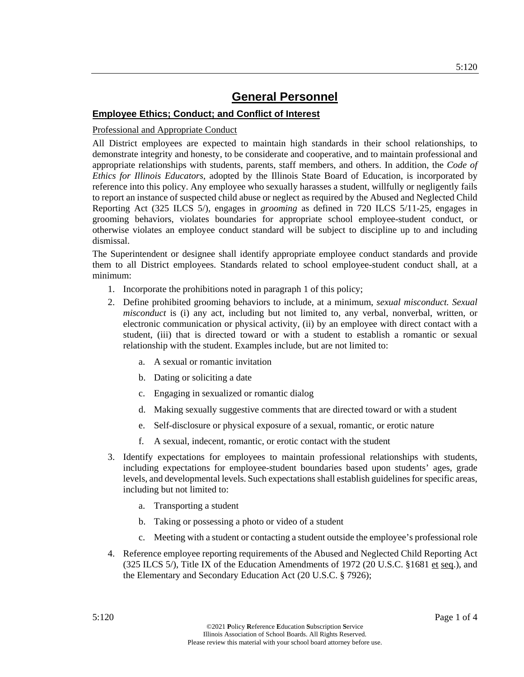### **Employee Ethics; Conduct; and Conflict of Interest**

#### Professional and Appropriate Conduct

All District employees are expected to maintain high standards in their school relationships, to demonstrate integrity and honesty, to be considerate and cooperative, and to maintain professional and appropriate relationships with students, parents, staff members, and others. In addition, the *Code of Ethics for Illinois Educators*, adopted by the Illinois State Board of Education, is incorporated by reference into this policy. Any employee who sexually harasses a student, willfully or negligently fails to report an instance of suspected child abuse or neglect as required by the Abused and Neglected Child Reporting Act (325 ILCS 5/), engages in *grooming* as defined in 720 ILCS 5/11-25, engages in grooming behaviors, violates boundaries for appropriate school employee-student conduct, or otherwise violates an employee conduct standard will be subject to discipline up to and including dismissal.

The Superintendent or designee shall identify appropriate employee conduct standards and provide them to all District employees. Standards related to school employee-student conduct shall, at a minimum:

- 1. Incorporate the prohibitions noted in paragraph 1 of this policy;
- 2. Define prohibited grooming behaviors to include, at a minimum, *sexual misconduct. Sexual misconduct* is (i) any act, including but not limited to, any verbal, nonverbal, written, or electronic communication or physical activity, (ii) by an employee with direct contact with a student, (iii) that is directed toward or with a student to establish a romantic or sexual relationship with the student. Examples include, but are not limited to:
	- a. A sexual or romantic invitation
	- b. Dating or soliciting a date
	- c. Engaging in sexualized or romantic dialog
	- d. Making sexually suggestive comments that are directed toward or with a student
	- e. Self-disclosure or physical exposure of a sexual, romantic, or erotic nature
	- f. A sexual, indecent, romantic, or erotic contact with the student
- 3. Identify expectations for employees to maintain professional relationships with students, including expectations for employee-student boundaries based upon students' ages, grade levels, and developmental levels. Such expectations shall establish guidelines for specific areas, including but not limited to:
	- a. Transporting a student
	- b. Taking or possessing a photo or video of a student
	- c. Meeting with a student or contacting a student outside the employee's professional role
- 4. Reference employee reporting requirements of the Abused and Neglected Child Reporting Act (325 ILCS 5/), Title IX of the Education Amendments of 1972 (20 U.S.C. §1681 et seq.), and the Elementary and Secondary Education Act (20 U.S.C. § 7926);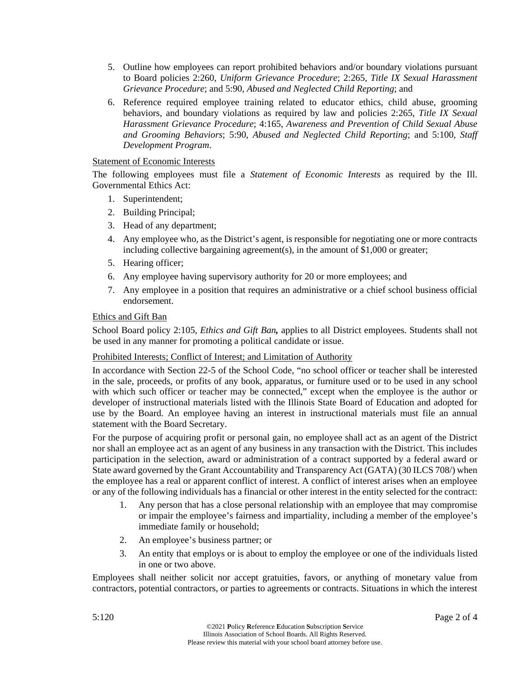- 5. Outline how employees can report prohibited behaviors and/or boundary violations pursuant to Board policies 2:260, *Uniform Grievance Procedure*; 2:265, *Title IX Sexual Harassment Grievance Procedure*; and 5:90, *Abused and Neglected Child Reporting*; and
- 6. Reference required employee training related to educator ethics, child abuse, grooming behaviors, and boundary violations as required by law and policies 2:265, *Title IX Sexual Harassment Grievance Procedure*; 4:165, *Awareness and Prevention of Child Sexual Abuse and Grooming Behaviors*; 5:90, *Abused and Neglected Child Reporting*; and 5:100, *Staff Development Program*.

### Statement of Economic Interests

The following employees must file a *Statement of Economic Interests* as required by the Ill. Governmental Ethics Act:

- 1. Superintendent;
- 2. Building Principal;
- 3. Head of any department;
- 4. Any employee who, as the District's agent, is responsible for negotiating one or more contracts including collective bargaining agreement(s), in the amount of \$1,000 or greater;
- 5. Hearing officer;
- 6. Any employee having supervisory authority for 20 or more employees; and
- 7. Any employee in a position that requires an administrative or a chief school business official endorsement.

### Ethics and Gift Ban

School Board policy 2:105, *Ethics and Gift Ban,* applies to all District employees. Students shall not be used in any manner for promoting a political candidate or issue.

### Prohibited Interests; Conflict of Interest; and Limitation of Authority

In accordance with Section 22-5 of the School Code, "no school officer or teacher shall be interested in the sale, proceeds, or profits of any book, apparatus, or furniture used or to be used in any school with which such officer or teacher may be connected," except when the employee is the author or developer of instructional materials listed with the Illinois State Board of Education and adopted for use by the Board. An employee having an interest in instructional materials must file an annual statement with the Board Secretary.

For the purpose of acquiring profit or personal gain, no employee shall act as an agent of the District nor shall an employee act as an agent of any business in any transaction with the District. This includes participation in the selection, award or administration of a contract supported by a federal award or State award governed by the Grant Accountability and Transparency Act (GATA) (30 ILCS 708/) when the employee has a real or apparent conflict of interest. A conflict of interest arises when an employee or any of the following individuals has a financial or other interest in the entity selected for the contract:

- 1. Any person that has a close personal relationship with an employee that may compromise or impair the employee's fairness and impartiality, including a member of the employee's immediate family or household;
- 2. An employee's business partner; or
- 3. An entity that employs or is about to employ the employee or one of the individuals listed in one or two above.

Employees shall neither solicit nor accept gratuities, favors, or anything of monetary value from contractors, potential contractors, or parties to agreements or contracts. Situations in which the interest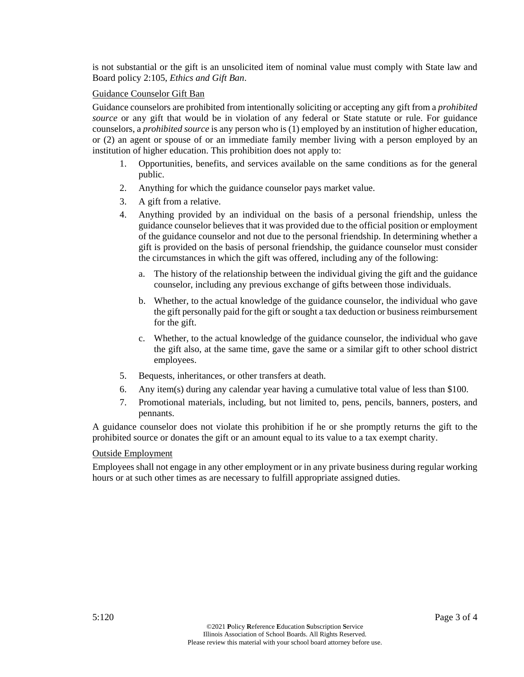is not substantial or the gift is an unsolicited item of nominal value must comply with State law and Board policy 2:105, *Ethics and Gift Ban*.

#### Guidance Counselor Gift Ban

Guidance counselors are prohibited from intentionally soliciting or accepting any gift from a *prohibited source* or any gift that would be in violation of any federal or State statute or rule. For guidance counselors, a *prohibited source* is any person who is (1) employed by an institution of higher education, or (2) an agent or spouse of or an immediate family member living with a person employed by an institution of higher education. This prohibition does not apply to:

- 1. Opportunities, benefits, and services available on the same conditions as for the general public.
- 2. Anything for which the guidance counselor pays market value.
- 3. A gift from a relative.
- 4. Anything provided by an individual on the basis of a personal friendship, unless the guidance counselor believes that it was provided due to the official position or employment of the guidance counselor and not due to the personal friendship. In determining whether a gift is provided on the basis of personal friendship, the guidance counselor must consider the circumstances in which the gift was offered, including any of the following:
	- a. The history of the relationship between the individual giving the gift and the guidance counselor, including any previous exchange of gifts between those individuals.
	- b. Whether, to the actual knowledge of the guidance counselor, the individual who gave the gift personally paid for the gift or sought a tax deduction or business reimbursement for the gift.
	- c. Whether, to the actual knowledge of the guidance counselor, the individual who gave the gift also, at the same time, gave the same or a similar gift to other school district employees.
- 5. Bequests, inheritances, or other transfers at death.
- 6. Any item(s) during any calendar year having a cumulative total value of less than \$100.
- 7. Promotional materials, including, but not limited to, pens, pencils, banners, posters, and pennants.

A guidance counselor does not violate this prohibition if he or she promptly returns the gift to the prohibited source or donates the gift or an amount equal to its value to a tax exempt charity.

#### Outside Employment

Employees shall not engage in any other employment or in any private business during regular working hours or at such other times as are necessary to fulfill appropriate assigned duties.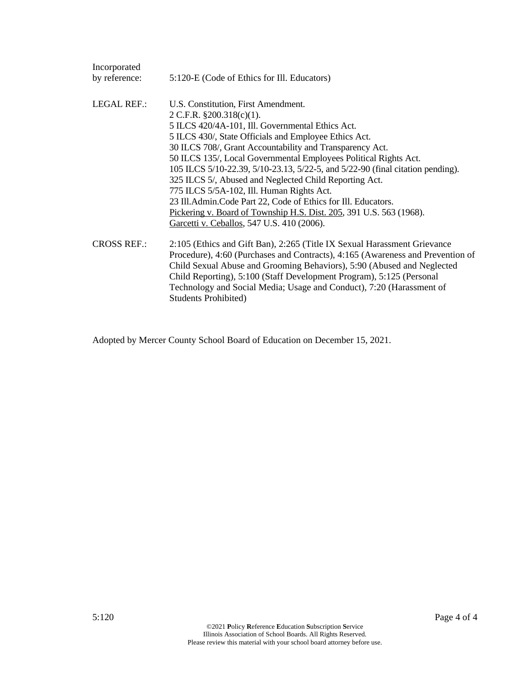| Incorporated       |                                                                                |
|--------------------|--------------------------------------------------------------------------------|
| by reference:      | 5:120-E (Code of Ethics for Ill. Educators)                                    |
| <b>LEGAL REF.:</b> | U.S. Constitution, First Amendment.                                            |
|                    | 2 C.F.R. $§200.318(c)(1)$ .                                                    |
|                    | 5 ILCS 420/4A-101, Ill. Governmental Ethics Act.                               |
|                    | 5 ILCS 430/, State Officials and Employee Ethics Act.                          |
|                    | 30 ILCS 708/, Grant Accountability and Transparency Act.                       |
|                    | 50 ILCS 135/, Local Governmental Employees Political Rights Act.               |
|                    | 105 ILCS 5/10-22.39, 5/10-23.13, 5/22-5, and 5/22-90 (final citation pending). |
|                    | 325 ILCS 5/, Abused and Neglected Child Reporting Act.                         |
|                    | 775 ILCS 5/5A-102, Ill. Human Rights Act.                                      |
|                    | 23 Ill. Admin. Code Part 22, Code of Ethics for Ill. Educators.                |
|                    | Pickering v. Board of Township H.S. Dist. 205, 391 U.S. 563 (1968).            |
|                    | Garcetti v. Ceballos, 547 U.S. 410 (2006).                                     |
| <b>CROSS REF.:</b> | 2:105 (Ethics and Gift Ban), 2:265 (Title IX Sexual Harassment Grievance       |
|                    | Procedure), 4:60 (Purchases and Contracts), 4:165 (Awareness and Prevention of |
|                    | Child Sexual Abuse and Grooming Behaviors), 5:90 (Abused and Neglected         |
|                    | Child Reporting), 5:100 (Staff Development Program), 5:125 (Personal           |
|                    | Technology and Social Media; Usage and Conduct), 7:20 (Harassment of           |
|                    | <b>Students Prohibited)</b>                                                    |

Adopted by Mercer County School Board of Education on December 15, 2021.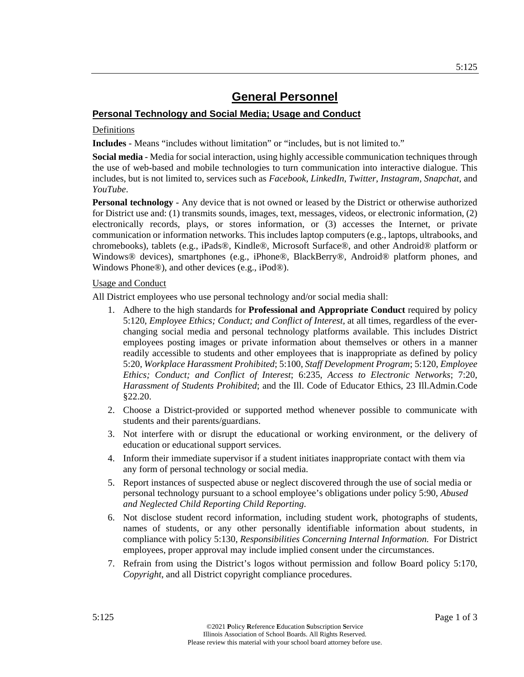### **Personal Technology and Social Media; Usage and Conduct**

#### Definitions

**Includes** - Means "includes without limitation" or "includes, but is not limited to."

**Social media** - Media for social interaction, using highly accessible communication techniques through the use of web-based and mobile technologies to turn communication into interactive dialogue. This includes, but is not limited to, services such as *Facebook*, *LinkedIn*, *Twitter*, *Instagram, Snapchat,* and *YouTube*.

**Personal technology** - Any device that is not owned or leased by the District or otherwise authorized for District use and: (1) transmits sounds, images, text, messages, videos, or electronic information, (2) electronically records, plays, or stores information, or (3) accesses the Internet, or private communication or information networks. This includes laptop computers (e.g., laptops, ultrabooks, and chromebooks), tablets (e.g., iPads®, Kindle®, Microsoft Surface®, and other Android® platform or Windows® devices), smartphones (e.g., iPhone®, BlackBerry®, Android® platform phones, and Windows Phone®), and other devices (e.g., iPod®).

#### Usage and Conduct

All District employees who use personal technology and/or social media shall:

- 1. Adhere to the high standards for **Professional and Appropriate Conduct** required by policy 5:120, *Employee Ethics; Conduct; and Conflict of Interest,* at all times, regardless of the everchanging social media and personal technology platforms available. This includes District employees posting images or private information about themselves or others in a manner readily accessible to students and other employees that is inappropriate as defined by policy 5:20, *Workplace Harassment Prohibited*; 5:100, *Staff Development Program*; 5:120, *Employee Ethics; Conduct; and Conflict of Interest*; 6:235, *Access to Electronic Networks*; 7:20, *Harassment of Students Prohibited*; and the Ill. Code of Educator Ethics, 23 Ill.Admin.Code §22.20.
- 2. Choose a District-provided or supported method whenever possible to communicate with students and their parents/guardians.
- 3. Not interfere with or disrupt the educational or working environment, or the delivery of education or educational support services.
- 4. Inform their immediate supervisor if a student initiates inappropriate contact with them via any form of personal technology or social media.
- 5. Report instances of suspected abuse or neglect discovered through the use of social media or personal technology pursuant to a school employee's obligations under policy 5:90, *Abused and Neglected Child Reporting Child Reporting*.
- 6. Not disclose student record information, including student work, photographs of students, names of students, or any other personally identifiable information about students, in compliance with policy 5:130, *Responsibilities Concerning Internal Information*. For District employees, proper approval may include implied consent under the circumstances.
- 7. Refrain from using the District's logos without permission and follow Board policy 5:170, *Copyright*, and all District copyright compliance procedures.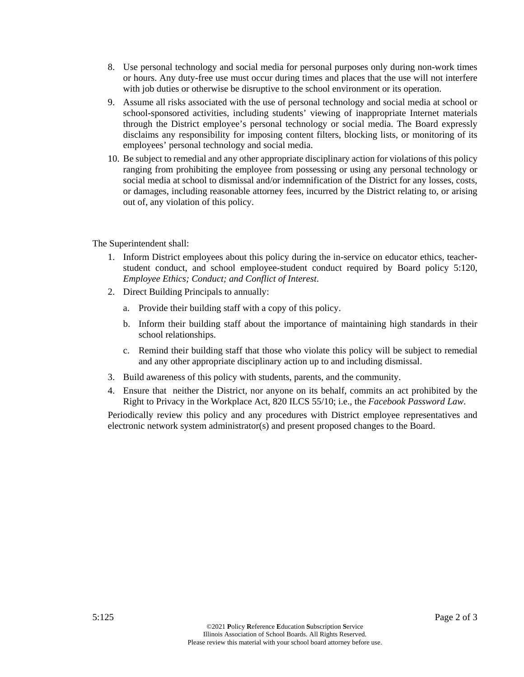- 8. Use personal technology and social media for personal purposes only during non-work times or hours. Any duty-free use must occur during times and places that the use will not interfere with job duties or otherwise be disruptive to the school environment or its operation.
- 9. Assume all risks associated with the use of personal technology and social media at school or school-sponsored activities, including students' viewing of inappropriate Internet materials through the District employee's personal technology or social media. The Board expressly disclaims any responsibility for imposing content filters, blocking lists, or monitoring of its employees' personal technology and social media.
- 10. Be subject to remedial and any other appropriate disciplinary action for violations of this policy ranging from prohibiting the employee from possessing or using any personal technology or social media at school to dismissal and/or indemnification of the District for any losses, costs, or damages, including reasonable attorney fees, incurred by the District relating to, or arising out of, any violation of this policy.

The Superintendent shall:

- 1. Inform District employees about this policy during the in-service on educator ethics, teacherstudent conduct, and school employee-student conduct required by Board policy 5:120, *Employee Ethics; Conduct; and Conflict of Interest*.
- 2. Direct Building Principals to annually:
	- a. Provide their building staff with a copy of this policy.
	- b. Inform their building staff about the importance of maintaining high standards in their school relationships.
	- c. Remind their building staff that those who violate this policy will be subject to remedial and any other appropriate disciplinary action up to and including dismissal.
- 3. Build awareness of this policy with students, parents, and the community.
- 4. Ensure that neither the District, nor anyone on its behalf, commits an act prohibited by the Right to Privacy in the Workplace Act, 820 ILCS 55/10; i.e., the *Facebook Password Law*.

Periodically review this policy and any procedures with District employee representatives and electronic network system administrator(s) and present proposed changes to the Board.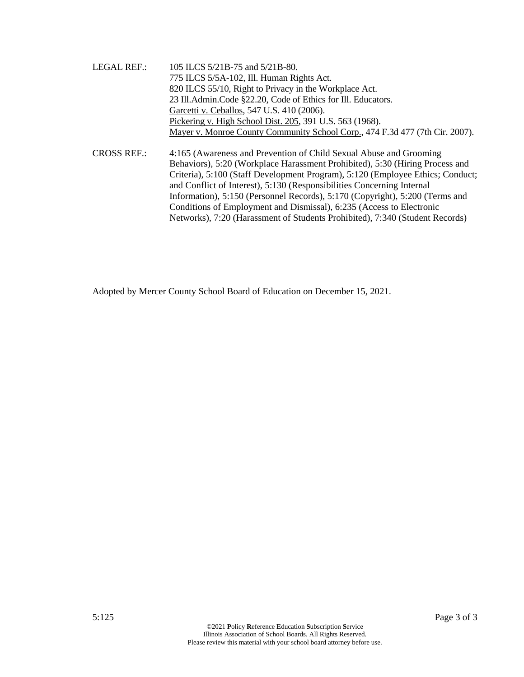- LEGAL REF.: 105 ILCS 5/21B-75 and 5/21B-80. 775 ILCS 5/5A-102, Ill. Human Rights Act. 820 ILCS 55/10, Right to Privacy in the Workplace Act. 23 Ill.Admin.Code §22.20, Code of Ethics for Ill. Educators. Garcetti v. Ceballos, 547 U.S. 410 (2006). Pickering v. High School Dist. 205, 391 U.S. 563 (1968). Mayer v. Monroe County Community School Corp., 474 F.3d 477 (7th Cir. 2007).
- CROSS REF.: 4:165 (Awareness and Prevention of Child Sexual Abuse and Grooming Behaviors), 5:20 (Workplace Harassment Prohibited), 5:30 (Hiring Process and Criteria), 5:100 (Staff Development Program), 5:120 (Employee Ethics; Conduct; and Conflict of Interest), 5:130 (Responsibilities Concerning Internal Information), 5:150 (Personnel Records), 5:170 (Copyright), 5:200 (Terms and Conditions of Employment and Dismissal), 6:235 (Access to Electronic Networks), 7:20 (Harassment of Students Prohibited), 7:340 (Student Records)

Adopted by Mercer County School Board of Education on December 15, 2021.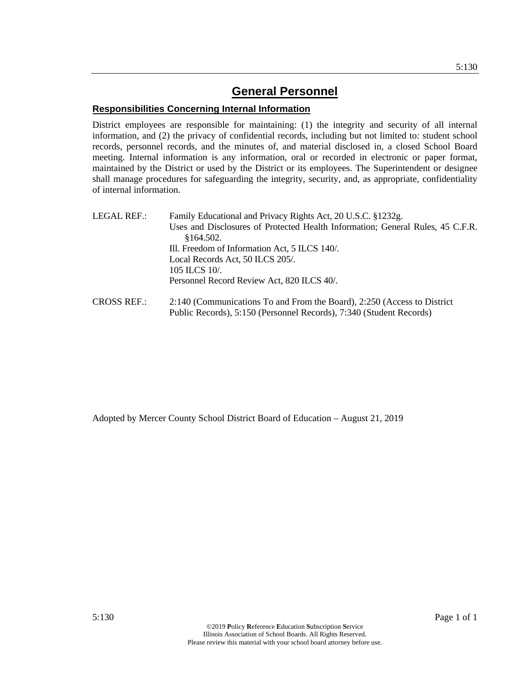### **Responsibilities Concerning Internal Information**

District employees are responsible for maintaining: (1) the integrity and security of all internal information, and (2) the privacy of confidential records, including but not limited to: student school records, personnel records, and the minutes of, and material disclosed in, a closed School Board meeting. Internal information is any information, oral or recorded in electronic or paper format, maintained by the District or used by the District or its employees. The Superintendent or designee shall manage procedures for safeguarding the integrity, security, and, as appropriate, confidentiality of internal information.

| LEGAL REF.: | Family Educational and Privacy Rights Act, 20 U.S.C. §1232g.                                                          |
|-------------|-----------------------------------------------------------------------------------------------------------------------|
|             | Uses and Disclosures of Protected Health Information; General Rules, 45 C.F.R.                                        |
|             | \$164.502.                                                                                                            |
|             | Ill. Freedom of Information Act, 5 ILCS 140/.                                                                         |
|             | Local Records Act, 50 ILCS 205/.                                                                                      |
|             | 105 ILCS 10/.                                                                                                         |
|             | Personnel Record Review Act, 820 ILCS 40/.                                                                            |
| CDOOCDPT    | $0.140$ (C $\cdot$ ) $\cdot$ T $1$ $\cdot$ 1 $\cdot$ 1 $\cdot$ 1 $\cdot$ 1 $0.250$ (A $\cdot$ $\cdot$ $\cdot$ $\cdot$ |

CROSS REF.: 2:140 (Communications To and From the Board), 2:250 (Access to District Public Records), 5:150 (Personnel Records), 7:340 (Student Records)

Adopted by Mercer County School District Board of Education – August 21, 2019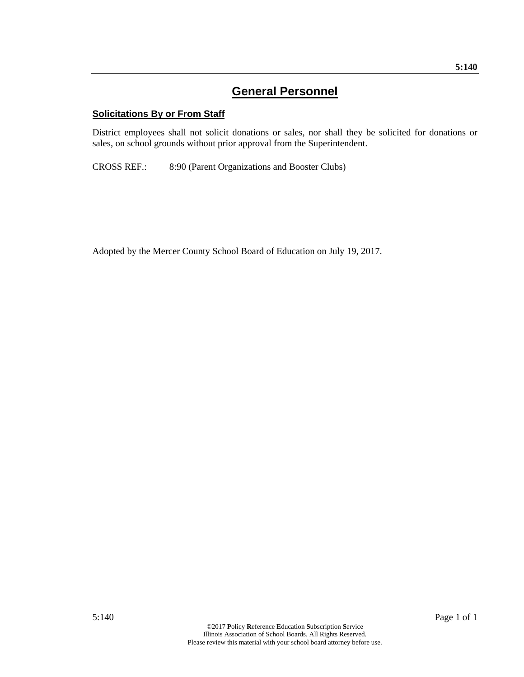# **Solicitations By or From Staff**

District employees shall not solicit donations or sales, nor shall they be solicited for donations or sales, on school grounds without prior approval from the Superintendent.

CROSS REF.: 8:90 (Parent Organizations and Booster Clubs)

Adopted by the Mercer County School Board of Education on July 19, 2017.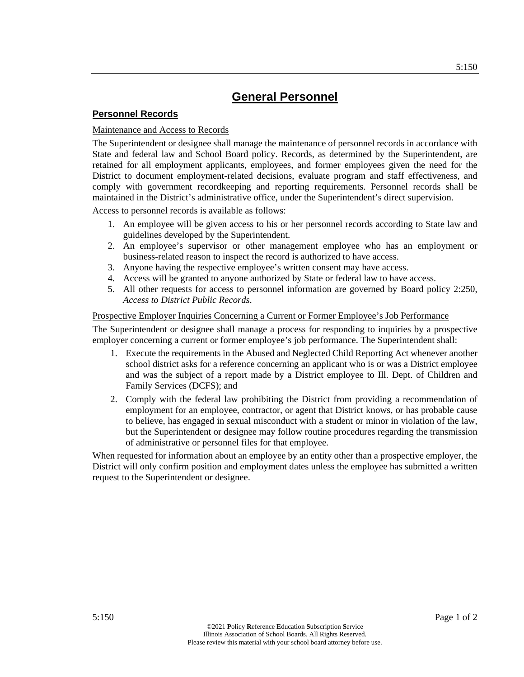# **Personnel Records**

### Maintenance and Access to Records

The Superintendent or designee shall manage the maintenance of personnel records in accordance with State and federal law and School Board policy. Records, as determined by the Superintendent, are retained for all employment applicants, employees, and former employees given the need for the District to document employment-related decisions, evaluate program and staff effectiveness, and comply with government recordkeeping and reporting requirements. Personnel records shall be maintained in the District's administrative office, under the Superintendent's direct supervision.

Access to personnel records is available as follows:

- 1. An employee will be given access to his or her personnel records according to State law and guidelines developed by the Superintendent.
- 2. An employee's supervisor or other management employee who has an employment or business-related reason to inspect the record is authorized to have access.
- 3. Anyone having the respective employee's written consent may have access.
- 4. Access will be granted to anyone authorized by State or federal law to have access.
- 5. All other requests for access to personnel information are governed by Board policy 2:250, *Access to District Public Records*.

#### Prospective Employer Inquiries Concerning a Current or Former Employee's Job Performance

The Superintendent or designee shall manage a process for responding to inquiries by a prospective employer concerning a current or former employee's job performance. The Superintendent shall:

- 1. Execute the requirements in the Abused and Neglected Child Reporting Act whenever another school district asks for a reference concerning an applicant who is or was a District employee and was the subject of a report made by a District employee to Ill. Dept. of Children and Family Services (DCFS); and
- 2. Comply with the federal law prohibiting the District from providing a recommendation of employment for an employee, contractor, or agent that District knows, or has probable cause to believe, has engaged in sexual misconduct with a student or minor in violation of the law, but the Superintendent or designee may follow routine procedures regarding the transmission of administrative or personnel files for that employee.

When requested for information about an employee by an entity other than a prospective employer, the District will only confirm position and employment dates unless the employee has submitted a written request to the Superintendent or designee.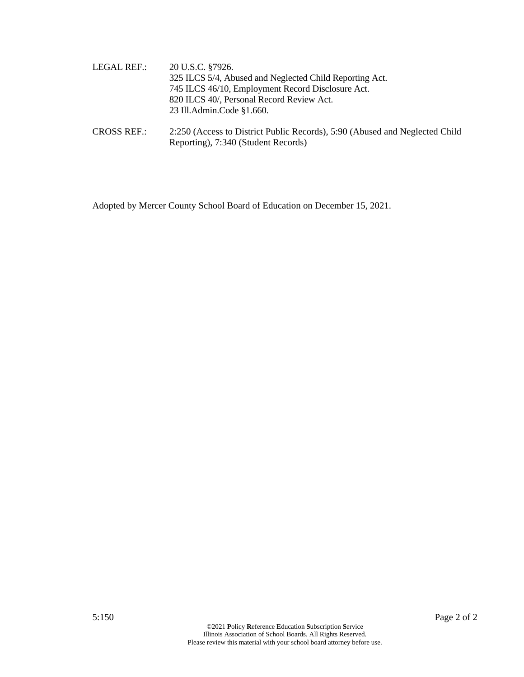- LEGAL REF.: 20 U.S.C. §7926. 325 ILCS 5/4, Abused and Neglected Child Reporting Act. 745 ILCS 46/10, Employment Record Disclosure Act. 820 ILCS 40/, Personal Record Review Act. 23 Ill.Admin.Code §1.660.
- CROSS REF.: 2:250 (Access to District Public Records), 5:90 (Abused and Neglected Child Reporting), 7:340 (Student Records)

Adopted by Mercer County School Board of Education on December 15, 2021.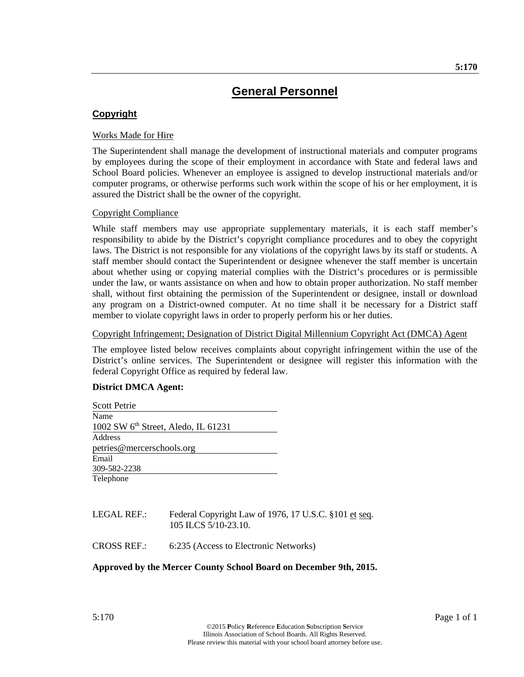# **Copyright**

### Works Made for Hire

The Superintendent shall manage the development of instructional materials and computer programs by employees during the scope of their employment in accordance with State and federal laws and School Board policies. Whenever an employee is assigned to develop instructional materials and/or computer programs, or otherwise performs such work within the scope of his or her employment, it is assured the District shall be the owner of the copyright.

#### Copyright Compliance

While staff members may use appropriate supplementary materials, it is each staff member's responsibility to abide by the District's copyright compliance procedures and to obey the copyright laws. The District is not responsible for any violations of the copyright laws by its staff or students. A staff member should contact the Superintendent or designee whenever the staff member is uncertain about whether using or copying material complies with the District's procedures or is permissible under the law, or wants assistance on when and how to obtain proper authorization. No staff member shall, without first obtaining the permission of the Superintendent or designee, install or download any program on a District-owned computer. At no time shall it be necessary for a District staff member to violate copyright laws in order to properly perform his or her duties.

#### Copyright Infringement; Designation of District Digital Millennium Copyright Act (DMCA) Agent

The employee listed below receives complaints about copyright infringement within the use of the District's online services. The Superintendent or designee will register this information with the federal Copyright Office as required by federal law.

# **District DMCA Agent:**

| <b>Scott Petrie</b>                             |  |
|-------------------------------------------------|--|
| Name                                            |  |
| 1002 SW $6^{\text{th}}$ Street, Aledo, IL 61231 |  |
| Address                                         |  |
| petries@mercerschools.org                       |  |
| Email                                           |  |
| 309-582-2238                                    |  |
| Telephone                                       |  |
|                                                 |  |

# LEGAL REF.: Federal Copyright Law of 1976, 17 U.S.C. §101 et seq. 105 ILCS 5/10-23.10.

CROSS REF.: 6:235 (Access to Electronic Networks)

#### **Approved by the Mercer County School Board on December 9th, 2015.**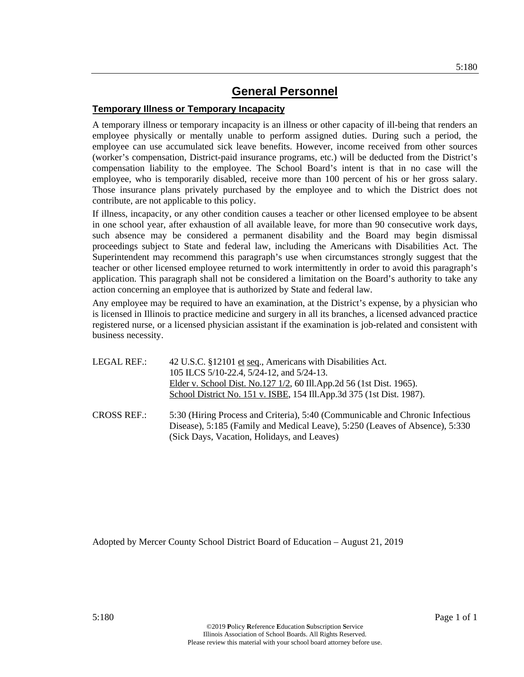# **Temporary Illness or Temporary Incapacity**

A temporary illness or temporary incapacity is an illness or other capacity of ill-being that renders an employee physically or mentally unable to perform assigned duties. During such a period, the employee can use accumulated sick leave benefits. However, income received from other sources (worker's compensation, District-paid insurance programs, etc.) will be deducted from the District's compensation liability to the employee. The School Board's intent is that in no case will the employee, who is temporarily disabled, receive more than 100 percent of his or her gross salary. Those insurance plans privately purchased by the employee and to which the District does not contribute, are not applicable to this policy.

If illness, incapacity, or any other condition causes a teacher or other licensed employee to be absent in one school year, after exhaustion of all available leave, for more than 90 consecutive work days, such absence may be considered a permanent disability and the Board may begin dismissal proceedings subject to State and federal law, including the Americans with Disabilities Act. The Superintendent may recommend this paragraph's use when circumstances strongly suggest that the teacher or other licensed employee returned to work intermittently in order to avoid this paragraph's application. This paragraph shall not be considered a limitation on the Board's authority to take any action concerning an employee that is authorized by State and federal law.

Any employee may be required to have an examination, at the District's expense, by a physician who is licensed in Illinois to practice medicine and surgery in all its branches, a licensed advanced practice registered nurse, or a licensed physician assistant if the examination is job-related and consistent with business necessity.

| LEGAL REF.:        | 42 U.S.C. §12101 et seq., Americans with Disabilities Act.                                                                                                    |  |  |
|--------------------|---------------------------------------------------------------------------------------------------------------------------------------------------------------|--|--|
|                    | 105 ILCS 5/10-22.4, 5/24-12, and 5/24-13.                                                                                                                     |  |  |
|                    | Elder v. School Dist. No.127 1/2, 60 Ill.App.2d 56 (1st Dist. 1965).                                                                                          |  |  |
|                    | School District No. 151 v. ISBE, 154 Ill.App.3d 375 (1st Dist. 1987).                                                                                         |  |  |
| <b>CROSS REF.:</b> | 5:30 (Hiring Process and Criteria), 5:40 (Communicable and Chronic Infectious<br>Disease), 5:185 (Family and Medical Leave), 5:250 (Leaves of Absence), 5:330 |  |  |

Adopted by Mercer County School District Board of Education – August 21, 2019

(Sick Days, Vacation, Holidays, and Leaves)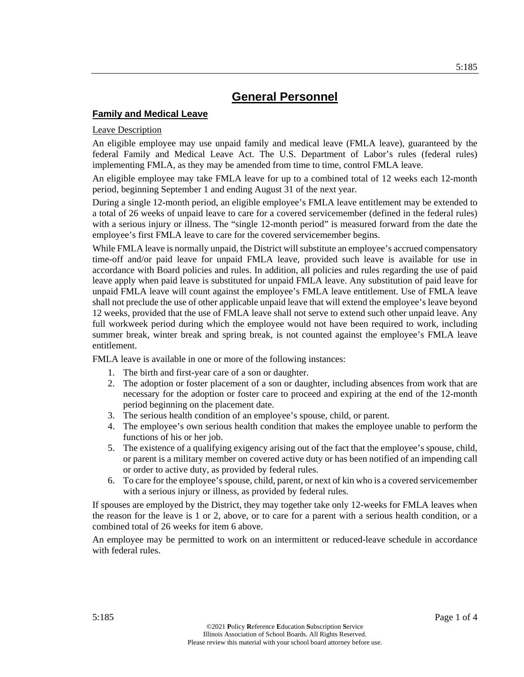# **Family and Medical Leave**

#### Leave Description

An eligible employee may use unpaid family and medical leave (FMLA leave), guaranteed by the federal Family and Medical Leave Act. The U.S. Department of Labor's rules (federal rules) implementing FMLA, as they may be amended from time to time, control FMLA leave.

An eligible employee may take FMLA leave for up to a combined total of 12 weeks each 12-month period, beginning September 1 and ending August 31 of the next year.

During a single 12-month period, an eligible employee's FMLA leave entitlement may be extended to a total of 26 weeks of unpaid leave to care for a covered servicemember (defined in the federal rules) with a serious injury or illness. The "single 12-month period" is measured forward from the date the employee's first FMLA leave to care for the covered servicemember begins.

While FMLA leave is normally unpaid, the District will substitute an employee's accrued compensatory time-off and/or paid leave for unpaid FMLA leave, provided such leave is available for use in accordance with Board policies and rules. In addition, all policies and rules regarding the use of paid leave apply when paid leave is substituted for unpaid FMLA leave. Any substitution of paid leave for unpaid FMLA leave will count against the employee's FMLA leave entitlement. Use of FMLA leave shall not preclude the use of other applicable unpaid leave that will extend the employee's leave beyond 12 weeks, provided that the use of FMLA leave shall not serve to extend such other unpaid leave. Any full workweek period during which the employee would not have been required to work, including summer break, winter break and spring break, is not counted against the employee's FMLA leave entitlement.

FMLA leave is available in one or more of the following instances:

- 1. The birth and first-year care of a son or daughter.
- 2. The adoption or foster placement of a son or daughter, including absences from work that are necessary for the adoption or foster care to proceed and expiring at the end of the 12-month period beginning on the placement date.
- 3. The serious health condition of an employee's spouse, child, or parent.
- 4. The employee's own serious health condition that makes the employee unable to perform the functions of his or her job.
- 5. The existence of a qualifying exigency arising out of the fact that the employee's spouse, child, or parent is a military member on covered active duty or has been notified of an impending call or order to active duty, as provided by federal rules.
- 6. To care for the employee's spouse, child, parent, or next of kin who is a covered servicemember with a serious injury or illness, as provided by federal rules.

If spouses are employed by the District, they may together take only 12-weeks for FMLA leaves when the reason for the leave is 1 or 2, above, or to care for a parent with a serious health condition, or a combined total of 26 weeks for item 6 above.

An employee may be permitted to work on an intermittent or reduced-leave schedule in accordance with federal rules.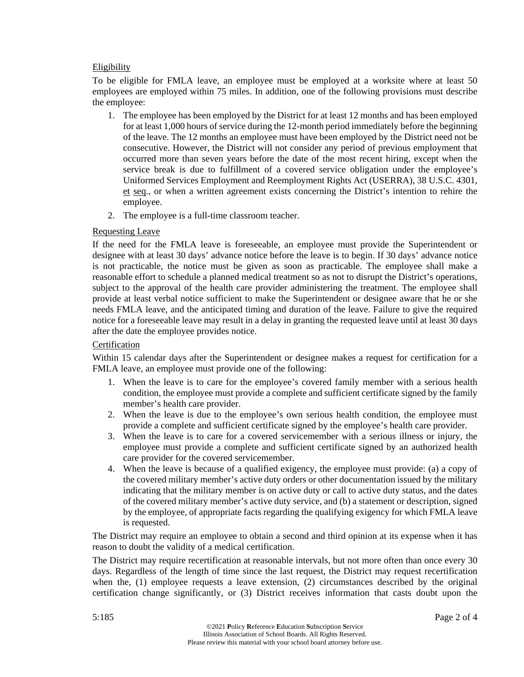# Eligibility

To be eligible for FMLA leave, an employee must be employed at a worksite where at least 50 employees are employed within 75 miles. In addition, one of the following provisions must describe the employee:

- 1. The employee has been employed by the District for at least 12 months and has been employed for at least 1,000 hours of service during the 12-month period immediately before the beginning of the leave. The 12 months an employee must have been employed by the District need not be consecutive. However, the District will not consider any period of previous employment that occurred more than seven years before the date of the most recent hiring, except when the service break is due to fulfillment of a covered service obligation under the employee's Uniformed Services Employment and Reemployment Rights Act (USERRA), 38 U.S.C. 4301, et seq., or when a written agreement exists concerning the District's intention to rehire the employee.
- 2. The employee is a full-time classroom teacher.

# Requesting Leave

If the need for the FMLA leave is foreseeable, an employee must provide the Superintendent or designee with at least 30 days' advance notice before the leave is to begin. If 30 days' advance notice is not practicable, the notice must be given as soon as practicable. The employee shall make a reasonable effort to schedule a planned medical treatment so as not to disrupt the District's operations, subject to the approval of the health care provider administering the treatment. The employee shall provide at least verbal notice sufficient to make the Superintendent or designee aware that he or she needs FMLA leave, and the anticipated timing and duration of the leave. Failure to give the required notice for a foreseeable leave may result in a delay in granting the requested leave until at least 30 days after the date the employee provides notice.

# **Certification**

Within 15 calendar days after the Superintendent or designee makes a request for certification for a FMLA leave, an employee must provide one of the following:

- 1. When the leave is to care for the employee's covered family member with a serious health condition, the employee must provide a complete and sufficient certificate signed by the family member's health care provider.
- 2. When the leave is due to the employee's own serious health condition, the employee must provide a complete and sufficient certificate signed by the employee's health care provider.
- 3. When the leave is to care for a covered servicemember with a serious illness or injury, the employee must provide a complete and sufficient certificate signed by an authorized health care provider for the covered servicemember.
- 4. When the leave is because of a qualified exigency, the employee must provide: (a) a copy of the covered military member's active duty orders or other documentation issued by the military indicating that the military member is on active duty or call to active duty status, and the dates of the covered military member's active duty service, and (b) a statement or description, signed by the employee, of appropriate facts regarding the qualifying exigency for which FMLA leave is requested.

The District may require an employee to obtain a second and third opinion at its expense when it has reason to doubt the validity of a medical certification.

The District may require recertification at reasonable intervals, but not more often than once every 30 days. Regardless of the length of time since the last request, the District may request recertification when the, (1) employee requests a leave extension, (2) circumstances described by the original certification change significantly, or (3) District receives information that casts doubt upon the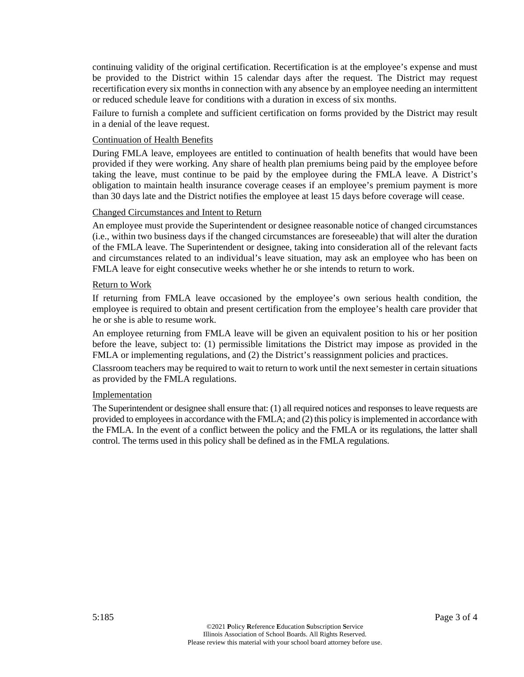continuing validity of the original certification. Recertification is at the employee's expense and must be provided to the District within 15 calendar days after the request. The District may request recertification every six months in connection with any absence by an employee needing an intermittent or reduced schedule leave for conditions with a duration in excess of six months.

Failure to furnish a complete and sufficient certification on forms provided by the District may result in a denial of the leave request.

#### Continuation of Health Benefits

During FMLA leave, employees are entitled to continuation of health benefits that would have been provided if they were working. Any share of health plan premiums being paid by the employee before taking the leave, must continue to be paid by the employee during the FMLA leave. A District's obligation to maintain health insurance coverage ceases if an employee's premium payment is more than 30 days late and the District notifies the employee at least 15 days before coverage will cease.

#### Changed Circumstances and Intent to Return

An employee must provide the Superintendent or designee reasonable notice of changed circumstances (i.e., within two business days if the changed circumstances are foreseeable) that will alter the duration of the FMLA leave. The Superintendent or designee, taking into consideration all of the relevant facts and circumstances related to an individual's leave situation, may ask an employee who has been on FMLA leave for eight consecutive weeks whether he or she intends to return to work.

#### Return to Work

If returning from FMLA leave occasioned by the employee's own serious health condition, the employee is required to obtain and present certification from the employee's health care provider that he or she is able to resume work.

An employee returning from FMLA leave will be given an equivalent position to his or her position before the leave, subject to: (1) permissible limitations the District may impose as provided in the FMLA or implementing regulations, and (2) the District's reassignment policies and practices.

Classroom teachers may be required to wait to return to work until the next semester in certain situations as provided by the FMLA regulations.

#### **Implementation**

The Superintendent or designee shall ensure that: (1) all required notices and responses to leave requests are provided to employees in accordance with the FMLA; and (2) this policy is implemented in accordance with the FMLA. In the event of a conflict between the policy and the FMLA or its regulations, the latter shall control. The terms used in this policy shall be defined as in the FMLA regulations.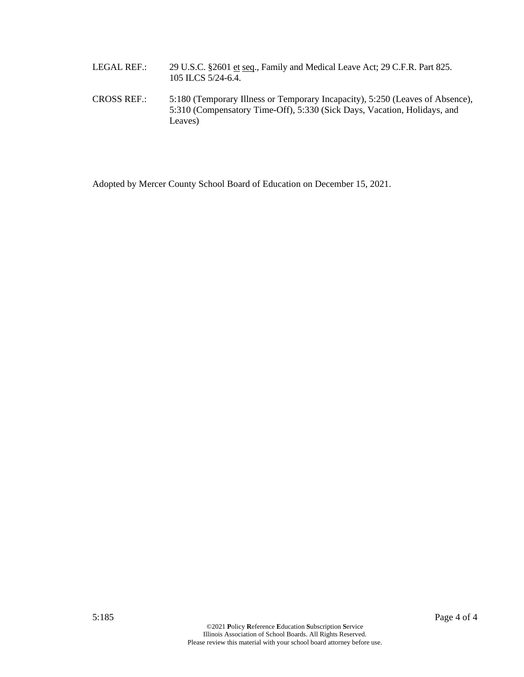- LEGAL REF.: 29 U.S.C. §2601 et seq., Family and Medical Leave Act; 29 C.F.R. Part 825. 105 ILCS 5/24-6.4.
- CROSS REF.: 5:180 (Temporary Illness or Temporary Incapacity), 5:250 (Leaves of Absence), 5:310 (Compensatory Time-Off), 5:330 (Sick Days, Vacation, Holidays, and Leaves)

Adopted by Mercer County School Board of Education on December 15, 2021.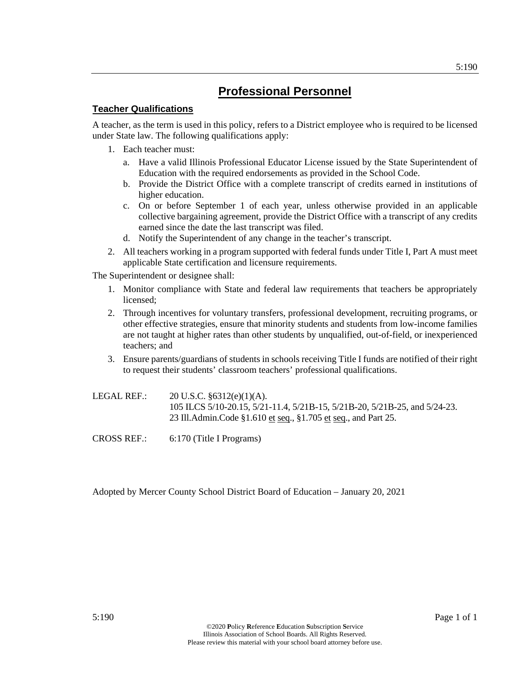# **Teacher Qualifications**

A teacher, as the term is used in this policy, refers to a District employee who is required to be licensed under State law. The following qualifications apply:

- 1. Each teacher must:
	- a. Have a valid Illinois Professional Educator License issued by the State Superintendent of Education with the required endorsements as provided in the School Code.
	- b. Provide the District Office with a complete transcript of credits earned in institutions of higher education.
	- c. On or before September 1 of each year, unless otherwise provided in an applicable collective bargaining agreement, provide the District Office with a transcript of any credits earned since the date the last transcript was filed.
	- d. Notify the Superintendent of any change in the teacher's transcript.
- 2. All teachers working in a program supported with federal funds under Title I, Part A must meet applicable State certification and licensure requirements.

The Superintendent or designee shall:

- 1. Monitor compliance with State and federal law requirements that teachers be appropriately licensed;
- 2. Through incentives for voluntary transfers, professional development, recruiting programs, or other effective strategies, ensure that minority students and students from low-income families are not taught at higher rates than other students by unqualified, out-of-field, or inexperienced teachers; and
- 3. Ensure parents/guardians of students in schools receiving Title I funds are notified of their right to request their students' classroom teachers' professional qualifications.
- LEGAL REF.: 20 U.S.C. §6312(e)(1)(A). 105 ILCS 5/10-20.15, 5/21-11.4, 5/21B-15, 5/21B-20, 5/21B-25, and 5/24-23. 23 Ill.Admin.Code §1.610 et seq., §1.705 et seq., and Part 25.
- CROSS REF.: 6:170 (Title I Programs)

Adopted by Mercer County School District Board of Education – January 20, 2021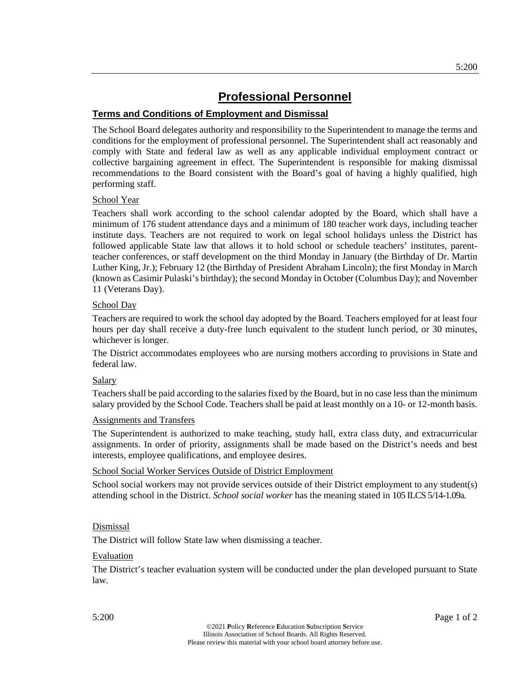# **Terms and Conditions of Employment and Dismissal**

The School Board delegates authority and responsibility to the Superintendent to manage the terms and conditions for the employment of professional personnel. The Superintendent shall act reasonably and comply with State and federal law as well as any applicable individual employment contract or collective bargaining agreement in effect. The Superintendent is responsible for making dismissal recommendations to the Board consistent with the Board's goal of having a highly qualified, high performing staff.

#### School Year

Teachers shall work according to the school calendar adopted by the Board, which shall have a minimum of 176 student attendance days and a minimum of 180 teacher work days, including teacher institute days. Teachers are not required to work on legal school holidays unless the District has followed applicable State law that allows it to hold school or schedule teachers' institutes, parentteacher conferences, or staff development on the third Monday in January (the Birthday of Dr. Martin Luther King, Jr.); February 12 (the Birthday of President Abraham Lincoln); the first Monday in March (known as Casimir Pulaski's birthday); the second Monday in October (Columbus Day); and November 11 (Veterans Day).

# School Day

Teachers are required to work the school day adopted by the Board. Teachers employed for at least four hours per day shall receive a duty-free lunch equivalent to the student lunch period, or 30 minutes, whichever is longer.

The District accommodates employees who are nursing mothers according to provisions in State and federal law.

# **Salary**

Teachers shall be paid according to the salaries fixed by the Board, but in no case less than the minimum salary provided by the School Code. Teachers shall be paid at least monthly on a 10- or 12-month basis.

#### Assignments and Transfers

The Superintendent is authorized to make teaching, study hall, extra class duty, and extracurricular assignments. In order of priority, assignments shall be made based on the District's needs and best interests, employee qualifications, and employee desires.

# School Social Worker Services Outside of District Employment

School social workers may not provide services outside of their District employment to any student(s) attending school in the District. *School social worker* has the meaning stated in 105 ILCS 5/14-1.09a.

# Dismissal

The District will follow State law when dismissing a teacher.

#### Evaluation

The District's teacher evaluation system will be conducted under the plan developed pursuant to State law.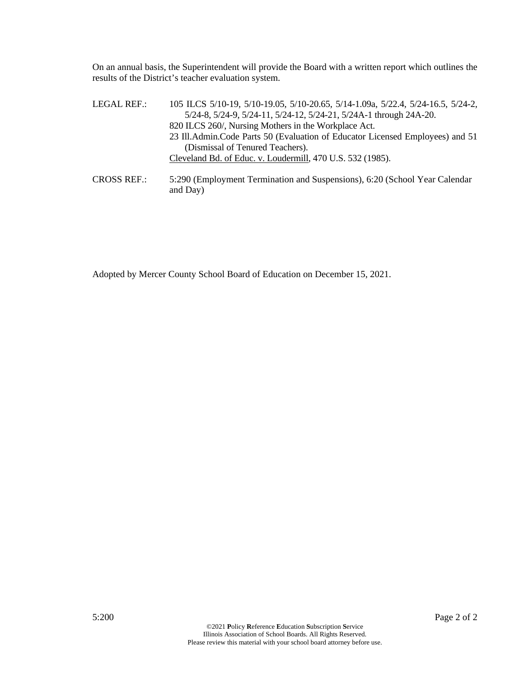On an annual basis, the Superintendent will provide the Board with a written report which outlines the results of the District's teacher evaluation system.

| LEGAL REF.:        | 105 ILCS 5/10-19, 5/10-19.05, 5/10-20.65, 5/14-1.09a, 5/22.4, 5/24-16.5, 5/24-2, |
|--------------------|----------------------------------------------------------------------------------|
|                    | 5/24-8, 5/24-9, 5/24-11, 5/24-12, 5/24-21, 5/24A-1 through 24A-20.               |
|                    | 820 ILCS 260/, Nursing Mothers in the Workplace Act.                             |
|                    | 23 Ill. Admin. Code Parts 50 (Evaluation of Educator Licensed Employees) and 51  |
|                    | (Dismissal of Tenured Teachers).                                                 |
|                    | Cleveland Bd. of Educ. v. Loudermill, 470 U.S. 532 (1985).                       |
| <b>CROSS REF.:</b> | 5:290 (Employment Termination and Suspensions), 6:20 (School Year Calendar       |

Adopted by Mercer County School Board of Education on December 15, 2021.

and Day)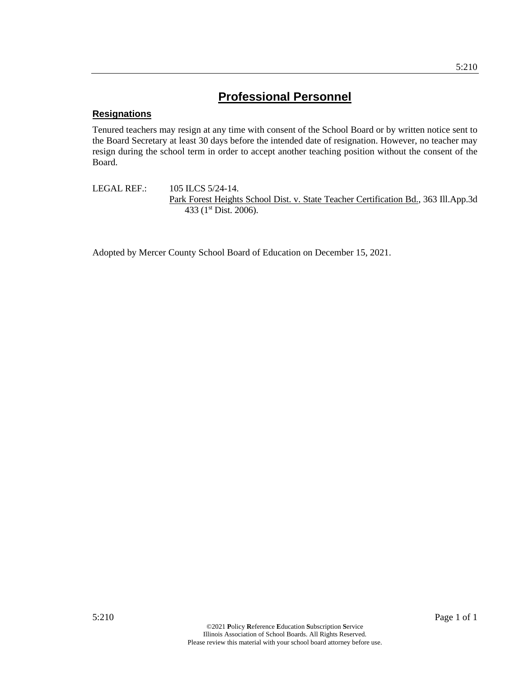# **Resignations**

Tenured teachers may resign at any time with consent of the School Board or by written notice sent to the Board Secretary at least 30 days before the intended date of resignation. However, no teacher may resign during the school term in order to accept another teaching position without the consent of the Board.

LEGAL REF.: 105 ILCS 5/24-14. Park Forest Heights School Dist. v. State Teacher Certification Bd., 363 Ill.App.3d 433 (1<sup>st</sup> Dist. 2006).

Adopted by Mercer County School Board of Education on December 15, 2021.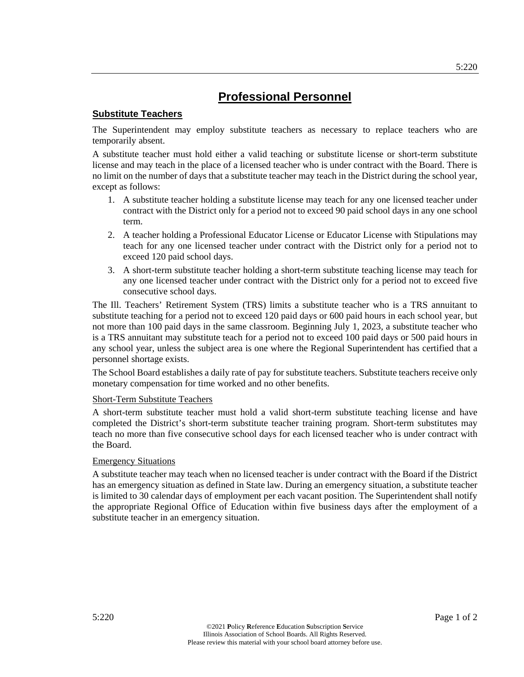# **Substitute Teachers**

The Superintendent may employ substitute teachers as necessary to replace teachers who are temporarily absent.

A substitute teacher must hold either a valid teaching or substitute license or short-term substitute license and may teach in the place of a licensed teacher who is under contract with the Board. There is no limit on the number of days that a substitute teacher may teach in the District during the school year, except as follows:

- 1. A substitute teacher holding a substitute license may teach for any one licensed teacher under contract with the District only for a period not to exceed 90 paid school days in any one school term.
- 2. A teacher holding a Professional Educator License or Educator License with Stipulations may teach for any one licensed teacher under contract with the District only for a period not to exceed 120 paid school days.
- 3. A short-term substitute teacher holding a short-term substitute teaching license may teach for any one licensed teacher under contract with the District only for a period not to exceed five consecutive school days.

The Ill. Teachers' Retirement System (TRS) limits a substitute teacher who is a TRS annuitant to substitute teaching for a period not to exceed 120 paid days or 600 paid hours in each school year, but not more than 100 paid days in the same classroom. Beginning July 1, 2023, a substitute teacher who is a TRS annuitant may substitute teach for a period not to exceed 100 paid days or 500 paid hours in any school year, unless the subject area is one where the Regional Superintendent has certified that a personnel shortage exists.

The School Board establishes a daily rate of pay for substitute teachers. Substitute teachers receive only monetary compensation for time worked and no other benefits.

# Short-Term Substitute Teachers

A short-term substitute teacher must hold a valid short-term substitute teaching license and have completed the District's short-term substitute teacher training program. Short-term substitutes may teach no more than five consecutive school days for each licensed teacher who is under contract with the Board.

# Emergency Situations

A substitute teacher may teach when no licensed teacher is under contract with the Board if the District has an emergency situation as defined in State law. During an emergency situation, a substitute teacher is limited to 30 calendar days of employment per each vacant position. The Superintendent shall notify the appropriate Regional Office of Education within five business days after the employment of a substitute teacher in an emergency situation.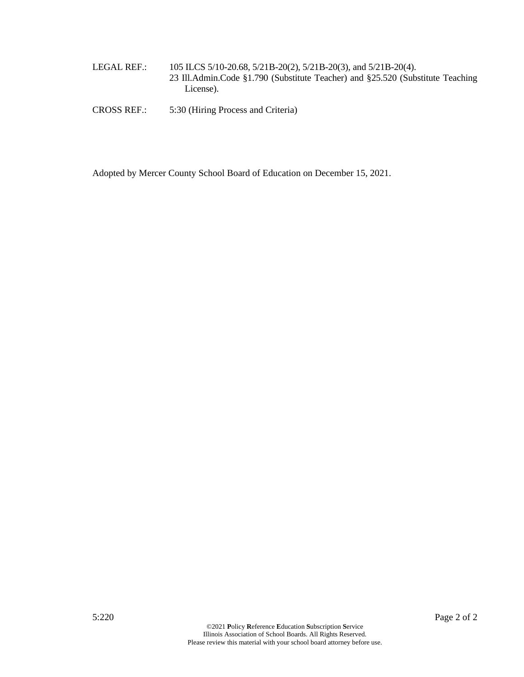LEGAL REF.: 105 ILCS 5/10-20.68, 5/21B-20(2), 5/21B-20(3), and 5/21B-20(4). 23 Ill.Admin.Code §1.790 (Substitute Teacher) and §25.520 (Substitute Teaching License).

CROSS REF.: 5:30 (Hiring Process and Criteria)

Adopted by Mercer County School Board of Education on December 15, 2021.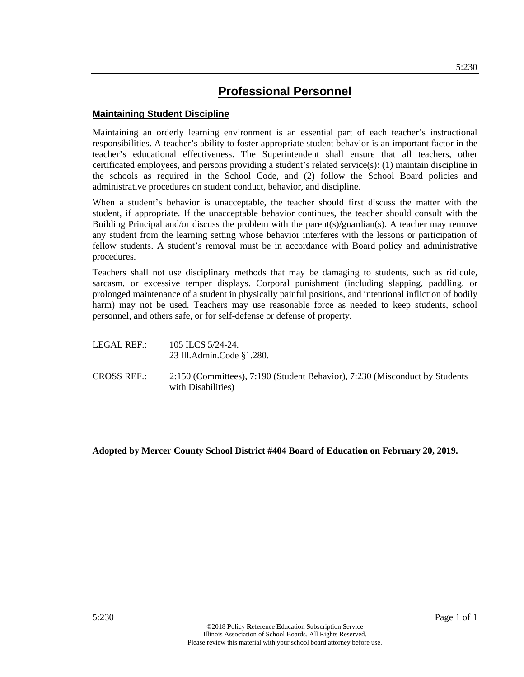# **Maintaining Student Discipline**

Maintaining an orderly learning environment is an essential part of each teacher's instructional responsibilities. A teacher's ability to foster appropriate student behavior is an important factor in the teacher's educational effectiveness. The Superintendent shall ensure that all teachers, other certificated employees, and persons providing a student's related service(s): (1) maintain discipline in the schools as required in the School Code, and (2) follow the School Board policies and administrative procedures on student conduct, behavior, and discipline.

When a student's behavior is unacceptable, the teacher should first discuss the matter with the student, if appropriate. If the unacceptable behavior continues, the teacher should consult with the Building Principal and/or discuss the problem with the parent(s)/guardian(s). A teacher may remove any student from the learning setting whose behavior interferes with the lessons or participation of fellow students. A student's removal must be in accordance with Board policy and administrative procedures.

Teachers shall not use disciplinary methods that may be damaging to students, such as ridicule, sarcasm, or excessive temper displays. Corporal punishment (including slapping, paddling, or prolonged maintenance of a student in physically painful positions, and intentional infliction of bodily harm) may not be used. Teachers may use reasonable force as needed to keep students, school personnel, and others safe, or for self-defense or defense of property.

- LEGAL REF.: 105 ILCS 5/24-24. 23 Ill.Admin.Code §1.280.
- CROSS REF.: 2:150 (Committees), 7:190 (Student Behavior), 7:230 (Misconduct by Students with Disabilities)

**Adopted by Mercer County School District #404 Board of Education on February 20, 2019.**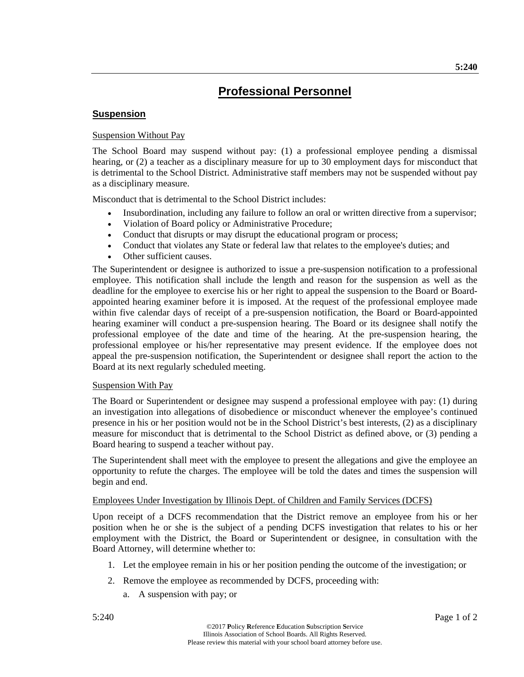# **Suspension**

### Suspension Without Pay

The School Board may suspend without pay: (1) a professional employee pending a dismissal hearing, or (2) a teacher as a disciplinary measure for up to 30 employment days for misconduct that is detrimental to the School District. Administrative staff members may not be suspended without pay as a disciplinary measure.

Misconduct that is detrimental to the School District includes:

- Insubordination, including any failure to follow an oral or written directive from a supervisor;
- Violation of Board policy or Administrative Procedure;
- Conduct that disrupts or may disrupt the educational program or process;
- Conduct that violates any State or federal law that relates to the employee's duties; and
- Other sufficient causes.

The Superintendent or designee is authorized to issue a pre-suspension notification to a professional employee. This notification shall include the length and reason for the suspension as well as the deadline for the employee to exercise his or her right to appeal the suspension to the Board or Boardappointed hearing examiner before it is imposed. At the request of the professional employee made within five calendar days of receipt of a pre-suspension notification, the Board or Board-appointed hearing examiner will conduct a pre-suspension hearing. The Board or its designee shall notify the professional employee of the date and time of the hearing. At the pre-suspension hearing, the professional employee or his/her representative may present evidence. If the employee does not appeal the pre-suspension notification, the Superintendent or designee shall report the action to the Board at its next regularly scheduled meeting.

#### Suspension With Pay

The Board or Superintendent or designee may suspend a professional employee with pay: (1) during an investigation into allegations of disobedience or misconduct whenever the employee's continued presence in his or her position would not be in the School District's best interests, (2) as a disciplinary measure for misconduct that is detrimental to the School District as defined above, or (3) pending a Board hearing to suspend a teacher without pay.

The Superintendent shall meet with the employee to present the allegations and give the employee an opportunity to refute the charges. The employee will be told the dates and times the suspension will begin and end.

#### Employees Under Investigation by Illinois Dept. of Children and Family Services (DCFS)

Upon receipt of a DCFS recommendation that the District remove an employee from his or her position when he or she is the subject of a pending DCFS investigation that relates to his or her employment with the District, the Board or Superintendent or designee, in consultation with the Board Attorney, will determine whether to:

- 1. Let the employee remain in his or her position pending the outcome of the investigation; or
- 2. Remove the employee as recommended by DCFS, proceeding with:
	- a. A suspension with pay; or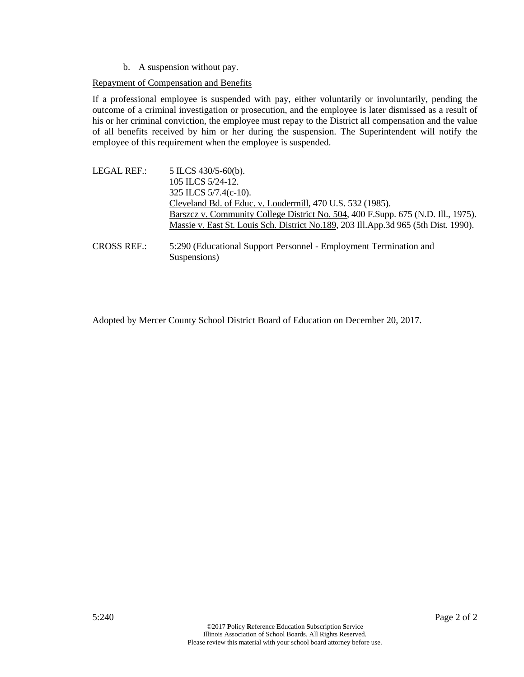b. A suspension without pay.

### Repayment of Compensation and Benefits

If a professional employee is suspended with pay, either voluntarily or involuntarily, pending the outcome of a criminal investigation or prosecution, and the employee is later dismissed as a result of his or her criminal conviction, the employee must repay to the District all compensation and the value of all benefits received by him or her during the suspension. The Superintendent will notify the employee of this requirement when the employee is suspended.

| LEGAL REF.: | 5 ILCS 430/5-60(b).                                                                 |
|-------------|-------------------------------------------------------------------------------------|
|             | 105 ILCS 5/24-12.                                                                   |
|             | 325 ILCS $5/7.4(c-10)$ .                                                            |
|             | Cleveland Bd. of Educ. v. Loudermill, 470 U.S. 532 (1985).                          |
|             | Barszcz v. Community College District No. 504, 400 F.Supp. 675 (N.D. Ill., 1975).   |
|             | Massie v. East St. Louis Sch. District No.189, 203 Ill.App.3d 965 (5th Dist. 1990). |
|             |                                                                                     |
| CDOOCDED    |                                                                                     |

CROSS REF.: 5:290 (Educational Support Personnel - Employment Termination and Suspensions)

Adopted by Mercer County School District Board of Education on December 20, 2017.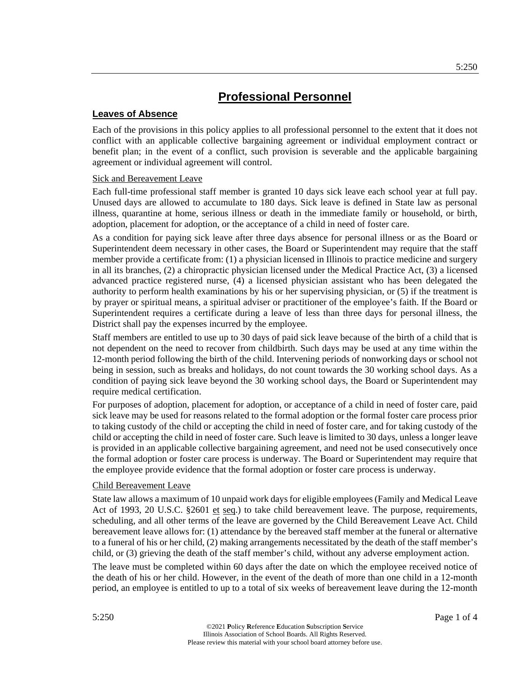# **Leaves of Absence**

Each of the provisions in this policy applies to all professional personnel to the extent that it does not conflict with an applicable collective bargaining agreement or individual employment contract or benefit plan; in the event of a conflict, such provision is severable and the applicable bargaining agreement or individual agreement will control.

#### Sick and Bereavement Leave

Each full-time professional staff member is granted 10 days sick leave each school year at full pay. Unused days are allowed to accumulate to 180 days. Sick leave is defined in State law as personal illness, quarantine at home, serious illness or death in the immediate family or household, or birth, adoption, placement for adoption, or the acceptance of a child in need of foster care.

As a condition for paying sick leave after three days absence for personal illness or as the Board or Superintendent deem necessary in other cases, the Board or Superintendent may require that the staff member provide a certificate from: (1) a physician licensed in Illinois to practice medicine and surgery in all its branches, (2) a chiropractic physician licensed under the Medical Practice Act, (3) a licensed advanced practice registered nurse, (4) a licensed physician assistant who has been delegated the authority to perform health examinations by his or her supervising physician, or (5) if the treatment is by prayer or spiritual means, a spiritual adviser or practitioner of the employee's faith. If the Board or Superintendent requires a certificate during a leave of less than three days for personal illness, the District shall pay the expenses incurred by the employee.

Staff members are entitled to use up to 30 days of paid sick leave because of the birth of a child that is not dependent on the need to recover from childbirth. Such days may be used at any time within the 12-month period following the birth of the child. Intervening periods of nonworking days or school not being in session, such as breaks and holidays, do not count towards the 30 working school days. As a condition of paying sick leave beyond the 30 working school days, the Board or Superintendent may require medical certification.

For purposes of adoption, placement for adoption, or acceptance of a child in need of foster care, paid sick leave may be used for reasons related to the formal adoption or the formal foster care process prior to taking custody of the child or accepting the child in need of foster care, and for taking custody of the child or accepting the child in need of foster care. Such leave is limited to 30 days, unless a longer leave is provided in an applicable collective bargaining agreement, and need not be used consecutively once the formal adoption or foster care process is underway. The Board or Superintendent may require that the employee provide evidence that the formal adoption or foster care process is underway.

#### Child Bereavement Leave

State law allows a maximum of 10 unpaid work days for eligible employees (Family and Medical Leave Act of 1993, 20 U.S.C. §2601 et seq.) to take child bereavement leave. The purpose, requirements, scheduling, and all other terms of the leave are governed by the Child Bereavement Leave Act. Child bereavement leave allows for: (1) attendance by the bereaved staff member at the funeral or alternative to a funeral of his or her child, (2) making arrangements necessitated by the death of the staff member's child, or (3) grieving the death of the staff member's child, without any adverse employment action.

The leave must be completed within 60 days after the date on which the employee received notice of the death of his or her child. However, in the event of the death of more than one child in a 12-month period, an employee is entitled to up to a total of six weeks of bereavement leave during the 12-month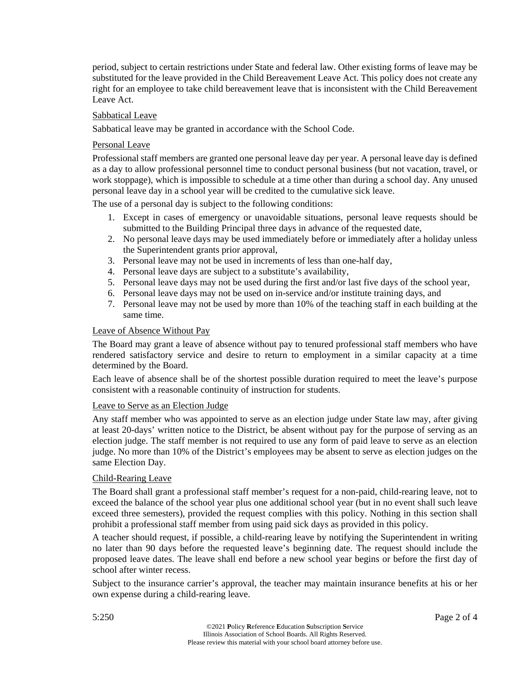period, subject to certain restrictions under State and federal law. Other existing forms of leave may be substituted for the leave provided in the Child Bereavement Leave Act. This policy does not create any right for an employee to take child bereavement leave that is inconsistent with the Child Bereavement Leave Act.

#### Sabbatical Leave

Sabbatical leave may be granted in accordance with the School Code.

#### Personal Leave

Professional staff members are granted one personal leave day per year. A personal leave day is defined as a day to allow professional personnel time to conduct personal business (but not vacation, travel, or work stoppage), which is impossible to schedule at a time other than during a school day. Any unused personal leave day in a school year will be credited to the cumulative sick leave.

The use of a personal day is subject to the following conditions:

- 1. Except in cases of emergency or unavoidable situations, personal leave requests should be submitted to the Building Principal three days in advance of the requested date,
- 2. No personal leave days may be used immediately before or immediately after a holiday unless the Superintendent grants prior approval,
- 3. Personal leave may not be used in increments of less than one-half day,
- 4. Personal leave days are subject to a substitute's availability,
- 5. Personal leave days may not be used during the first and/or last five days of the school year,
- 6. Personal leave days may not be used on in-service and/or institute training days, and
- 7. Personal leave may not be used by more than 10% of the teaching staff in each building at the same time.

#### Leave of Absence Without Pay

The Board may grant a leave of absence without pay to tenured professional staff members who have rendered satisfactory service and desire to return to employment in a similar capacity at a time determined by the Board.

Each leave of absence shall be of the shortest possible duration required to meet the leave's purpose consistent with a reasonable continuity of instruction for students.

#### Leave to Serve as an Election Judge

Any staff member who was appointed to serve as an election judge under State law may, after giving at least 20-days' written notice to the District, be absent without pay for the purpose of serving as an election judge. The staff member is not required to use any form of paid leave to serve as an election judge. No more than 10% of the District's employees may be absent to serve as election judges on the same Election Day.

#### Child-Rearing Leave

The Board shall grant a professional staff member's request for a non-paid, child-rearing leave, not to exceed the balance of the school year plus one additional school year (but in no event shall such leave exceed three semesters), provided the request complies with this policy. Nothing in this section shall prohibit a professional staff member from using paid sick days as provided in this policy.

A teacher should request, if possible, a child-rearing leave by notifying the Superintendent in writing no later than 90 days before the requested leave's beginning date. The request should include the proposed leave dates. The leave shall end before a new school year begins or before the first day of school after winter recess.

Subject to the insurance carrier's approval, the teacher may maintain insurance benefits at his or her own expense during a child-rearing leave.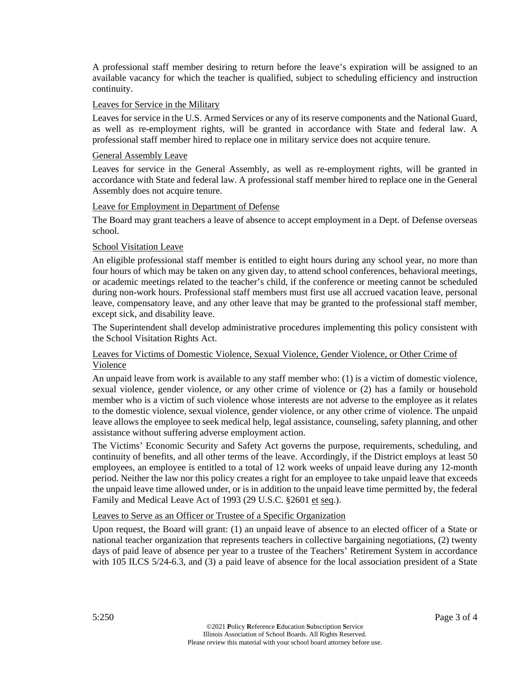A professional staff member desiring to return before the leave's expiration will be assigned to an available vacancy for which the teacher is qualified, subject to scheduling efficiency and instruction continuity.

### Leaves for Service in the Military

Leaves for service in the U.S. Armed Services or any of its reserve components and the National Guard, as well as re-employment rights, will be granted in accordance with State and federal law. A professional staff member hired to replace one in military service does not acquire tenure.

#### General Assembly Leave

Leaves for service in the General Assembly, as well as re-employment rights, will be granted in accordance with State and federal law. A professional staff member hired to replace one in the General Assembly does not acquire tenure.

#### Leave for Employment in Department of Defense

The Board may grant teachers a leave of absence to accept employment in a Dept. of Defense overseas school.

# School Visitation Leave

An eligible professional staff member is entitled to eight hours during any school year, no more than four hours of which may be taken on any given day, to attend school conferences, behavioral meetings, or academic meetings related to the teacher's child, if the conference or meeting cannot be scheduled during non-work hours. Professional staff members must first use all accrued vacation leave, personal leave, compensatory leave, and any other leave that may be granted to the professional staff member, except sick, and disability leave.

The Superintendent shall develop administrative procedures implementing this policy consistent with the School Visitation Rights Act.

# Leaves for Victims of Domestic Violence, Sexual Violence, Gender Violence, or Other Crime of Violence

An unpaid leave from work is available to any staff member who: (1) is a victim of domestic violence, sexual violence, gender violence, or any other crime of violence or (2) has a family or household member who is a victim of such violence whose interests are not adverse to the employee as it relates to the domestic violence, sexual violence, gender violence, or any other crime of violence. The unpaid leave allows the employee to seek medical help, legal assistance, counseling, safety planning, and other assistance without suffering adverse employment action.

The Victims' Economic Security and Safety Act governs the purpose, requirements, scheduling, and continuity of benefits, and all other terms of the leave. Accordingly, if the District employs at least 50 employees, an employee is entitled to a total of 12 work weeks of unpaid leave during any 12-month period. Neither the law nor this policy creates a right for an employee to take unpaid leave that exceeds the unpaid leave time allowed under, or is in addition to the unpaid leave time permitted by, the federal Family and Medical Leave Act of 1993 (29 U.S.C. §2601 et seq.).

# Leaves to Serve as an Officer or Trustee of a Specific Organization

Upon request, the Board will grant: (1) an unpaid leave of absence to an elected officer of a State or national teacher organization that represents teachers in collective bargaining negotiations, (2) twenty days of paid leave of absence per year to a trustee of the Teachers' Retirement System in accordance with 105 ILCS 5/24-6.3, and (3) a paid leave of absence for the local association president of a State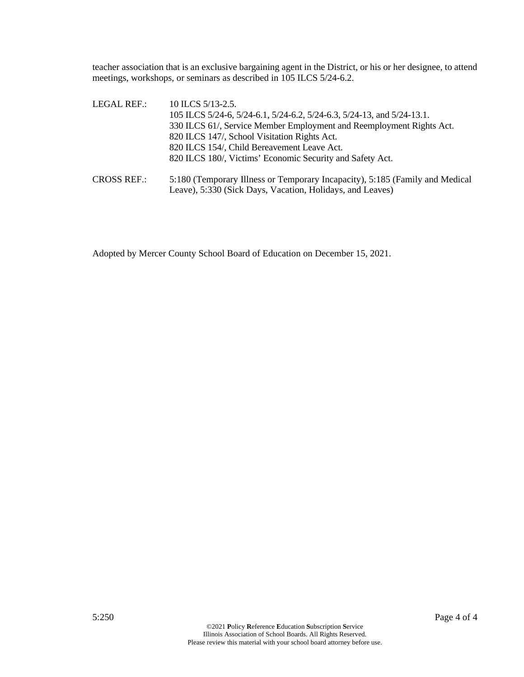teacher association that is an exclusive bargaining agent in the District, or his or her designee, to attend meetings, workshops, or seminars as described in 105 ILCS 5/24-6.2.

| LEGAL REF.:        | 10 ILCS $5/13-2.5$ .                                                         |
|--------------------|------------------------------------------------------------------------------|
|                    | 105 ILCS 5/24-6, 5/24-6.1, 5/24-6.2, 5/24-6.3, 5/24-13, and 5/24-13.1.       |
|                    | 330 ILCS 61/, Service Member Employment and Reemployment Rights Act.         |
|                    | 820 ILCS 147/, School Visitation Rights Act.                                 |
|                    | 820 ILCS 154/, Child Bereavement Leave Act.                                  |
|                    | 820 ILCS 180/, Victims' Economic Security and Safety Act.                    |
| <b>CROSS REF.:</b> | 5:180 (Temporary Illness or Temporary Incapacity), 5:185 (Family and Medical |
|                    | Leave), 5:330 (Sick Days, Vacation, Holidays, and Leaves)                    |

Adopted by Mercer County School Board of Education on December 15, 2021.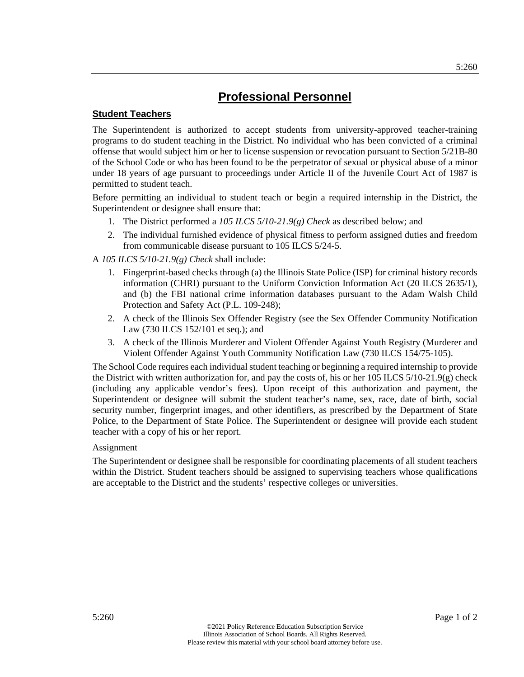# **Student Teachers**

The Superintendent is authorized to accept students from university-approved teacher-training programs to do student teaching in the District. No individual who has been convicted of a criminal offense that would subject him or her to license suspension or revocation pursuant to Section 5/21B-80 of the School Code or who has been found to be the perpetrator of sexual or physical abuse of a minor under 18 years of age pursuant to proceedings under Article II of the Juvenile Court Act of 1987 is permitted to student teach.

Before permitting an individual to student teach or begin a required internship in the District, the Superintendent or designee shall ensure that:

- 1. The District performed a *105 ILCS 5/10-21.9(g) Check* as described below; and
- 2. The individual furnished evidence of physical fitness to perform assigned duties and freedom from communicable disease pursuant to 105 ILCS 5/24-5.

A *105 ILCS 5/10-21.9(g) Check* shall include:

- 1. Fingerprint-based checks through (a) the Illinois State Police (ISP) for criminal history records information (CHRI) pursuant to the Uniform Conviction Information Act (20 ILCS 2635/1), and (b) the FBI national crime information databases pursuant to the Adam Walsh Child Protection and Safety Act (P.L. 109-248);
- 2. A check of the Illinois Sex Offender Registry (see the Sex Offender Community Notification Law (730 ILCS 152/101 et seq.); and
- 3. A check of the Illinois Murderer and Violent Offender Against Youth Registry (Murderer and Violent Offender Against Youth Community Notification Law (730 ILCS 154/75-105).

The School Code requires each individual student teaching or beginning a required internship to provide the District with written authorization for, and pay the costs of, his or her 105 ILCS  $5/10-21.9(g)$  check (including any applicable vendor's fees). Upon receipt of this authorization and payment, the Superintendent or designee will submit the student teacher's name, sex, race, date of birth, social security number, fingerprint images, and other identifiers, as prescribed by the Department of State Police, to the Department of State Police. The Superintendent or designee will provide each student teacher with a copy of his or her report.

# Assignment

The Superintendent or designee shall be responsible for coordinating placements of all student teachers within the District. Student teachers should be assigned to supervising teachers whose qualifications are acceptable to the District and the students' respective colleges or universities.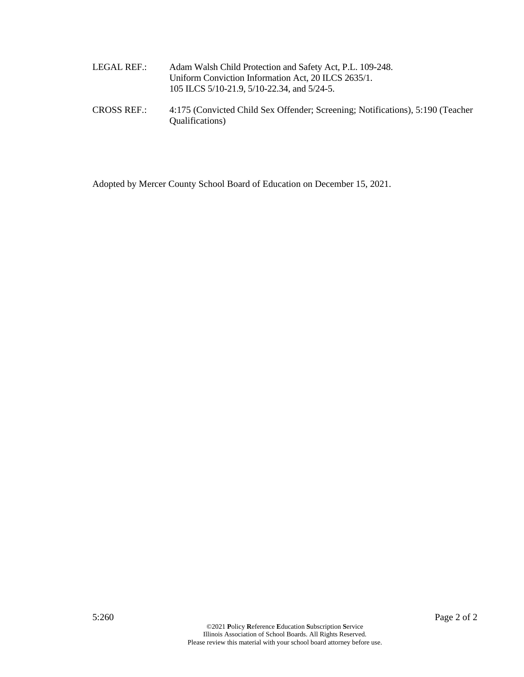| LEGAL REF.: | Adam Walsh Child Protection and Safety Act, P.L. 109-248. |
|-------------|-----------------------------------------------------------|
|             | Uniform Conviction Information Act, 20 ILCS 2635/1.       |
|             | 105 ILCS 5/10-21.9, 5/10-22.34, and 5/24-5.               |

CROSS REF.: 4:175 (Convicted Child Sex Offender; Screening; Notifications), 5:190 (Teacher Qualifications)

Adopted by Mercer County School Board of Education on December 15, 2021.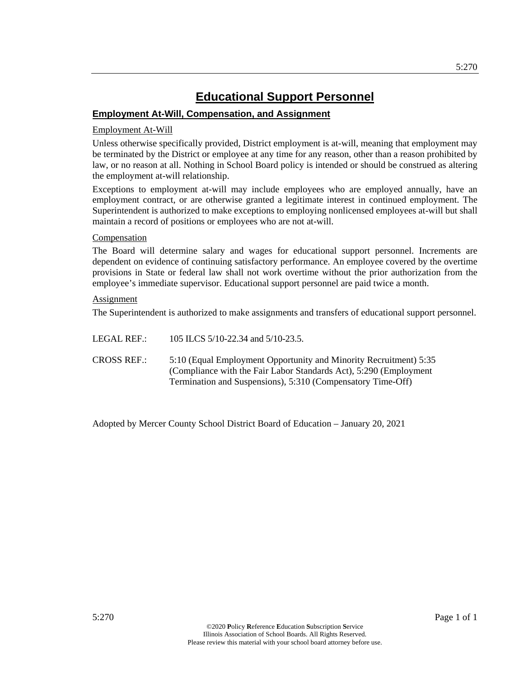# **Educational Support Personnel**

# **Employment At-Will, Compensation, and Assignment**

# Employment At-Will

Unless otherwise specifically provided, District employment is at-will, meaning that employment may be terminated by the District or employee at any time for any reason, other than a reason prohibited by law, or no reason at all. Nothing in School Board policy is intended or should be construed as altering the employment at-will relationship.

Exceptions to employment at-will may include employees who are employed annually, have an employment contract, or are otherwise granted a legitimate interest in continued employment. The Superintendent is authorized to make exceptions to employing nonlicensed employees at-will but shall maintain a record of positions or employees who are not at-will.

# Compensation

The Board will determine salary and wages for educational support personnel. Increments are dependent on evidence of continuing satisfactory performance. An employee covered by the overtime provisions in State or federal law shall not work overtime without the prior authorization from the employee's immediate supervisor. Educational support personnel are paid twice a month.

# Assignment

The Superintendent is authorized to make assignments and transfers of educational support personnel.

- LEGAL REF.: 105 ILCS 5/10-22.34 and 5/10-23.5.
- CROSS REF.: 5:10 (Equal Employment Opportunity and Minority Recruitment) 5:35 (Compliance with the Fair Labor Standards Act), 5:290 (Employment Termination and Suspensions), 5:310 (Compensatory Time-Off)

Adopted by Mercer County School District Board of Education – January 20, 2021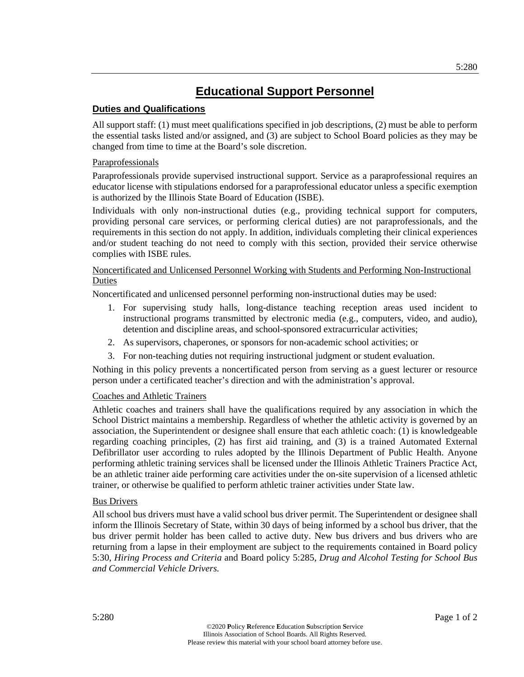# **Educational Support Personnel**

# **Duties and Qualifications**

All support staff: (1) must meet qualifications specified in job descriptions, (2) must be able to perform the essential tasks listed and/or assigned, and (3) are subject to School Board policies as they may be changed from time to time at the Board's sole discretion.

# **Paraprofessionals**

Paraprofessionals provide supervised instructional support. Service as a paraprofessional requires an educator license with stipulations endorsed for a paraprofessional educator unless a specific exemption is authorized by the Illinois State Board of Education (ISBE).

Individuals with only non-instructional duties (e.g., providing technical support for computers, providing personal care services, or performing clerical duties) are not paraprofessionals, and the requirements in this section do not apply. In addition, individuals completing their clinical experiences and/or student teaching do not need to comply with this section, provided their service otherwise complies with ISBE rules.

# Noncertificated and Unlicensed Personnel Working with Students and Performing Non-Instructional Duties

Noncertificated and unlicensed personnel performing non-instructional duties may be used:

- 1. For supervising study halls, long-distance teaching reception areas used incident to instructional programs transmitted by electronic media (e.g., computers, video, and audio), detention and discipline areas, and school-sponsored extracurricular activities;
- 2. As supervisors, chaperones, or sponsors for non-academic school activities; or
- 3. For non-teaching duties not requiring instructional judgment or student evaluation.

Nothing in this policy prevents a noncertificated person from serving as a guest lecturer or resource person under a certificated teacher's direction and with the administration's approval.

# Coaches and Athletic Trainers

Athletic coaches and trainers shall have the qualifications required by any association in which the School District maintains a membership. Regardless of whether the athletic activity is governed by an association, the Superintendent or designee shall ensure that each athletic coach: (1) is knowledgeable regarding coaching principles, (2) has first aid training, and (3) is a trained Automated External Defibrillator user according to rules adopted by the Illinois Department of Public Health. Anyone performing athletic training services shall be licensed under the Illinois Athletic Trainers Practice Act, be an athletic trainer aide performing care activities under the on-site supervision of a licensed athletic trainer, or otherwise be qualified to perform athletic trainer activities under State law.

# Bus Drivers

All school bus drivers must have a valid school bus driver permit. The Superintendent or designee shall inform the Illinois Secretary of State, within 30 days of being informed by a school bus driver, that the bus driver permit holder has been called to active duty. New bus drivers and bus drivers who are returning from a lapse in their employment are subject to the requirements contained in Board policy 5:30, *Hiring Process and Criteria* and Board policy 5:285, *Drug and Alcohol Testing for School Bus and Commercial Vehicle Drivers.*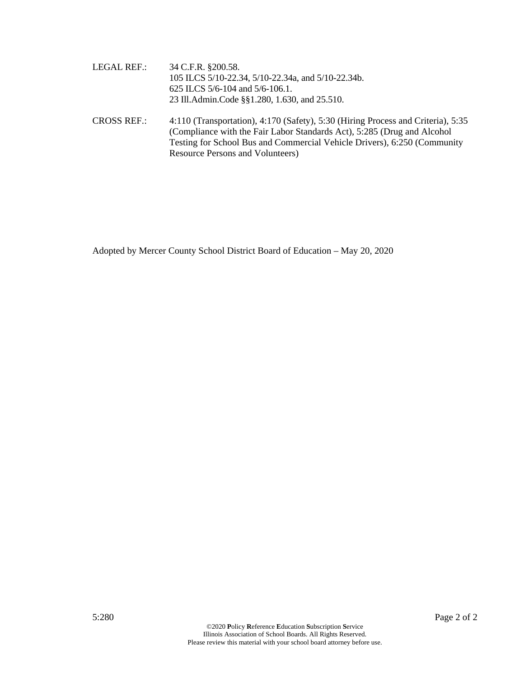| LEGAL REF.: | 34 C.F.R. §200.58.                                 |  |
|-------------|----------------------------------------------------|--|
|             | 105 ILCS 5/10-22.34, 5/10-22.34a, and 5/10-22.34b. |  |
|             | 625 ILCS 5/6-104 and 5/6-106.1.                    |  |
|             | 23 Ill.Admin.Code §§1.280, 1.630, and 25.510.      |  |
|             |                                                    |  |

CROSS REF.: 4:110 (Transportation), 4:170 (Safety), 5:30 (Hiring Process and Criteria), 5:35 (Compliance with the Fair Labor Standards Act), 5:285 (Drug and Alcohol Testing for School Bus and Commercial Vehicle Drivers), 6:250 (Community Resource Persons and Volunteers)

Adopted by Mercer County School District Board of Education – May 20, 2020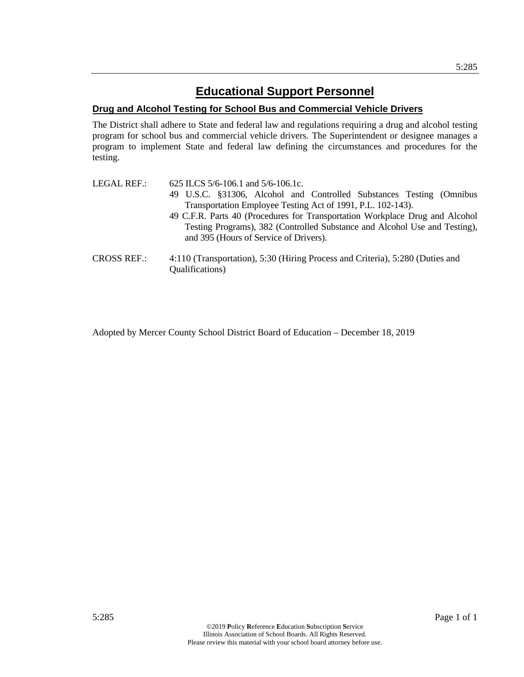# **Drug and Alcohol Testing for School Bus and Commercial Vehicle Drivers**

The District shall adhere to State and federal law and regulations requiring a drug and alcohol testing program for school bus and commercial vehicle drivers. The Superintendent or designee manages a program to implement State and federal law defining the circumstances and procedures for the testing.

| LEGAL REF.:        | 625 ILCS $5/6$ -106.1 and $5/6$ -106.1c.                                      |  |  |  |
|--------------------|-------------------------------------------------------------------------------|--|--|--|
|                    | 49 U.S.C. §31306, Alcohol and Controlled Substances Testing (Omnibus          |  |  |  |
|                    | Transportation Employee Testing Act of 1991, P.L. 102-143).                   |  |  |  |
|                    | 49 C.F.R. Parts 40 (Procedures for Transportation Workplace Drug and Alcohol  |  |  |  |
|                    | Testing Programs), 382 (Controlled Substance and Alcohol Use and Testing),    |  |  |  |
|                    | and 395 (Hours of Service of Drivers).                                        |  |  |  |
| <b>CROSS REF.:</b> | 4:110 (Transportation), 5:30 (Hiring Process and Criteria), 5:280 (Duties and |  |  |  |
|                    | Qualifications)                                                               |  |  |  |

Adopted by Mercer County School District Board of Education – December 18, 2019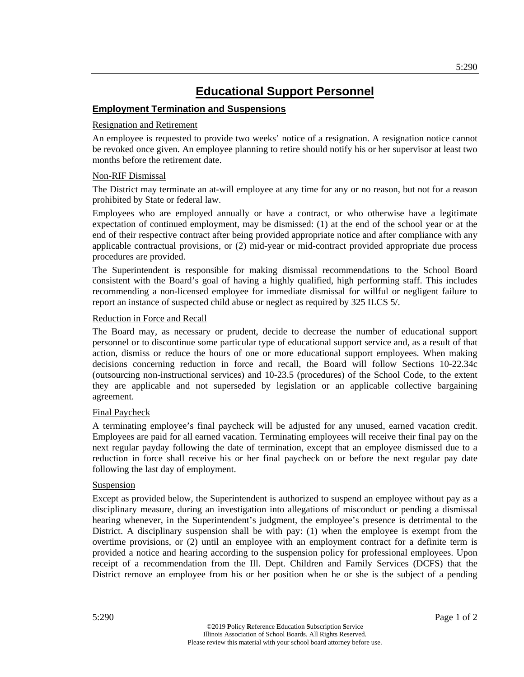# **Educational Support Personnel**

# **Employment Termination and Suspensions**

# Resignation and Retirement

An employee is requested to provide two weeks' notice of a resignation. A resignation notice cannot be revoked once given. An employee planning to retire should notify his or her supervisor at least two months before the retirement date.

# Non-RIF Dismissal

The District may terminate an at-will employee at any time for any or no reason, but not for a reason prohibited by State or federal law.

Employees who are employed annually or have a contract, or who otherwise have a legitimate expectation of continued employment, may be dismissed: (1) at the end of the school year or at the end of their respective contract after being provided appropriate notice and after compliance with any applicable contractual provisions, or (2) mid-year or mid-contract provided appropriate due process procedures are provided.

The Superintendent is responsible for making dismissal recommendations to the School Board consistent with the Board's goal of having a highly qualified, high performing staff. This includes recommending a non-licensed employee for immediate dismissal for willful or negligent failure to report an instance of suspected child abuse or neglect as required by 325 ILCS 5/.

# Reduction in Force and Recall

The Board may, as necessary or prudent, decide to decrease the number of educational support personnel or to discontinue some particular type of educational support service and, as a result of that action, dismiss or reduce the hours of one or more educational support employees. When making decisions concerning reduction in force and recall, the Board will follow Sections 10-22.34c (outsourcing non-instructional services) and 10-23.5 (procedures) of the School Code, to the extent they are applicable and not superseded by legislation or an applicable collective bargaining agreement.

# Final Paycheck

A terminating employee's final paycheck will be adjusted for any unused, earned vacation credit. Employees are paid for all earned vacation. Terminating employees will receive their final pay on the next regular payday following the date of termination, except that an employee dismissed due to a reduction in force shall receive his or her final paycheck on or before the next regular pay date following the last day of employment.

# **Suspension**

Except as provided below, the Superintendent is authorized to suspend an employee without pay as a disciplinary measure, during an investigation into allegations of misconduct or pending a dismissal hearing whenever, in the Superintendent's judgment, the employee's presence is detrimental to the District. A disciplinary suspension shall be with pay: (1) when the employee is exempt from the overtime provisions, or (2) until an employee with an employment contract for a definite term is provided a notice and hearing according to the suspension policy for professional employees. Upon receipt of a recommendation from the Ill. Dept. Children and Family Services (DCFS) that the District remove an employee from his or her position when he or she is the subject of a pending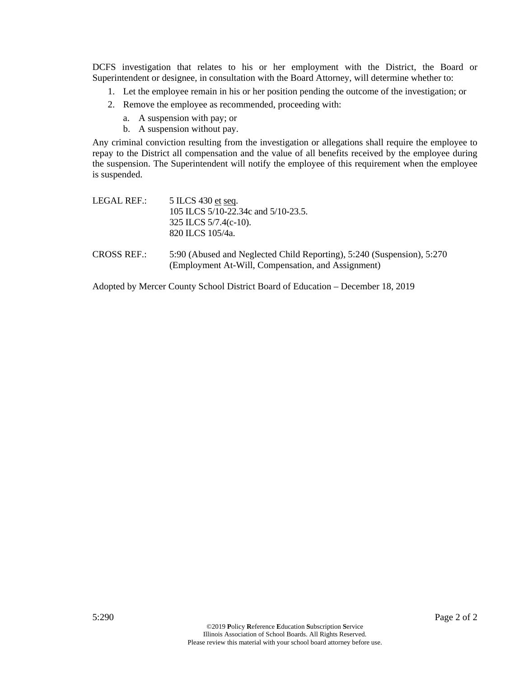DCFS investigation that relates to his or her employment with the District, the Board or Superintendent or designee, in consultation with the Board Attorney, will determine whether to:

- 1. Let the employee remain in his or her position pending the outcome of the investigation; or
- 2. Remove the employee as recommended, proceeding with:
	- a. A suspension with pay; or
	- b. A suspension without pay.

Any criminal conviction resulting from the investigation or allegations shall require the employee to repay to the District all compensation and the value of all benefits received by the employee during the suspension. The Superintendent will notify the employee of this requirement when the employee is suspended.

| LEGAL REF.:        | 5 ILCS 430 et seq.                                                                                                           |
|--------------------|------------------------------------------------------------------------------------------------------------------------------|
|                    | 105 ILCS 5/10-22.34c and 5/10-23.5.                                                                                          |
|                    | 325 ILCS $5/7.4(c-10)$ .                                                                                                     |
|                    | 820 ILCS 105/4a.                                                                                                             |
| <b>CROSS REF.:</b> | 5:90 (Abused and Neglected Child Reporting), 5:240 (Suspension), 5:270<br>(Employment At-Will, Compensation, and Assignment) |

Adopted by Mercer County School District Board of Education – December 18, 2019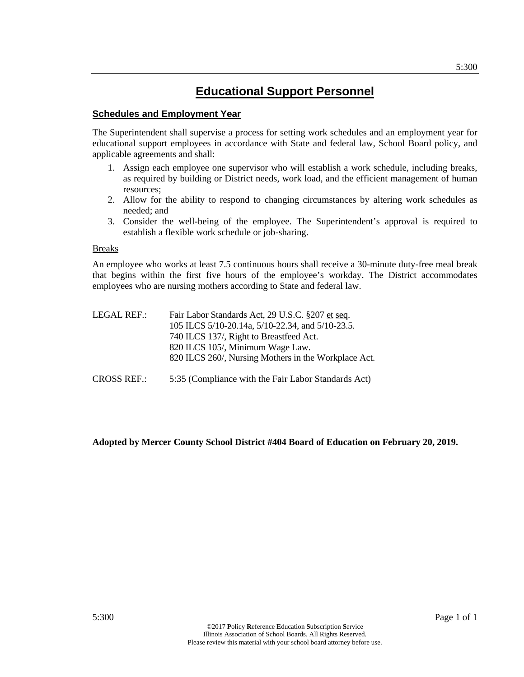# **Educational Support Personnel**

# **Schedules and Employment Year**

The Superintendent shall supervise a process for setting work schedules and an employment year for educational support employees in accordance with State and federal law, School Board policy, and applicable agreements and shall:

- 1. Assign each employee one supervisor who will establish a work schedule, including breaks, as required by building or District needs, work load, and the efficient management of human resources;
- 2. Allow for the ability to respond to changing circumstances by altering work schedules as needed; and
- 3. Consider the well-being of the employee. The Superintendent's approval is required to establish a flexible work schedule or job-sharing.

#### **Breaks**

An employee who works at least 7.5 continuous hours shall receive a 30-minute duty-free meal break that begins within the first five hours of the employee's workday. The District accommodates employees who are nursing mothers according to State and federal law.

| LEGAL REF.:        | Fair Labor Standards Act, 29 U.S.C. §207 et seq.<br>105 ILCS 5/10-20.14a, 5/10-22.34, and 5/10-23.5.<br>740 ILCS 137/, Right to Breastfeed Act.<br>820 ILCS 105/, Minimum Wage Law. |
|--------------------|-------------------------------------------------------------------------------------------------------------------------------------------------------------------------------------|
|                    | 820 ILCS 260/, Nursing Mothers in the Workplace Act.                                                                                                                                |
| <b>CROSS REF.:</b> | 5:35 (Compliance with the Fair Labor Standards Act)                                                                                                                                 |

# **Adopted by Mercer County School District #404 Board of Education on February 20, 2019.**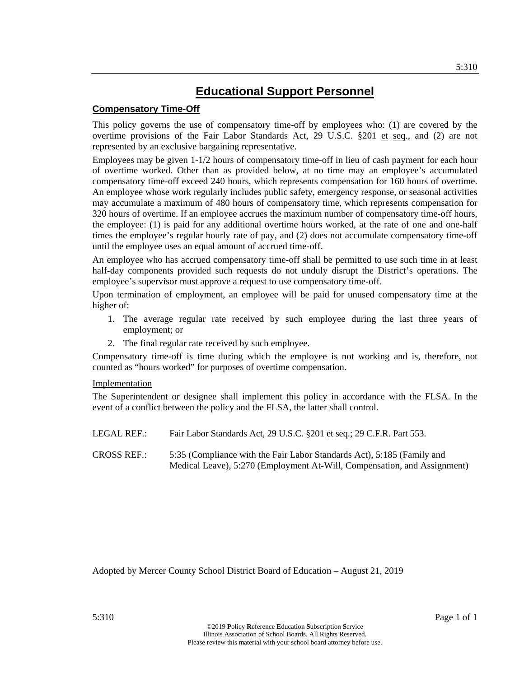# **Compensatory Time-Off**

This policy governs the use of compensatory time-off by employees who: (1) are covered by the overtime provisions of the Fair Labor Standards Act, 29 U.S.C. §201 et seq., and (2) are not represented by an exclusive bargaining representative.

Employees may be given 1-1/2 hours of compensatory time-off in lieu of cash payment for each hour of overtime worked. Other than as provided below, at no time may an employee's accumulated compensatory time-off exceed 240 hours, which represents compensation for 160 hours of overtime. An employee whose work regularly includes public safety, emergency response, or seasonal activities may accumulate a maximum of 480 hours of compensatory time, which represents compensation for 320 hours of overtime. If an employee accrues the maximum number of compensatory time-off hours, the employee: (1) is paid for any additional overtime hours worked, at the rate of one and one-half times the employee's regular hourly rate of pay, and (2) does not accumulate compensatory time-off until the employee uses an equal amount of accrued time-off.

An employee who has accrued compensatory time-off shall be permitted to use such time in at least half-day components provided such requests do not unduly disrupt the District's operations. The employee's supervisor must approve a request to use compensatory time-off.

Upon termination of employment, an employee will be paid for unused compensatory time at the higher of:

- 1. The average regular rate received by such employee during the last three years of employment; or
- 2. The final regular rate received by such employee.

Compensatory time-off is time during which the employee is not working and is, therefore, not counted as "hours worked" for purposes of overtime compensation.

# Implementation

The Superintendent or designee shall implement this policy in accordance with the FLSA. In the event of a conflict between the policy and the FLSA, the latter shall control.

LEGAL REF.: Fair Labor Standards Act, 29 U.S.C. §201 et seq.; 29 C.F.R. Part 553.

CROSS REF.: 5:35 (Compliance with the Fair Labor Standards Act), 5:185 (Family and Medical Leave), 5:270 (Employment At-Will, Compensation, and Assignment)

Adopted by Mercer County School District Board of Education – August 21, 2019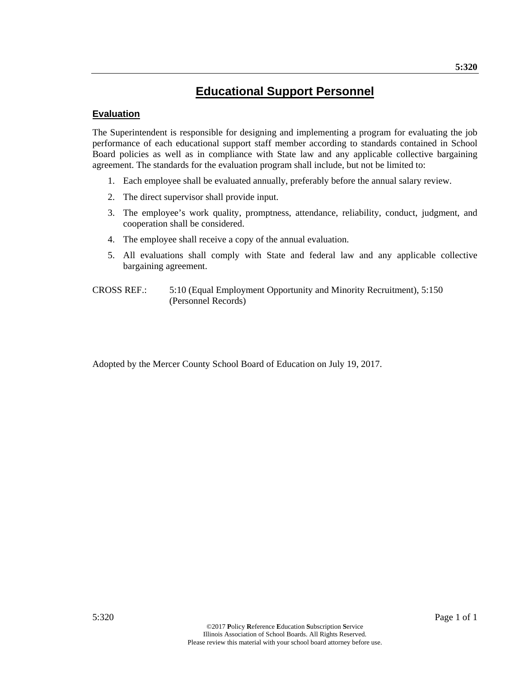# **Educational Support Personnel**

# **Evaluation**

The Superintendent is responsible for designing and implementing a program for evaluating the job performance of each educational support staff member according to standards contained in School Board policies as well as in compliance with State law and any applicable collective bargaining agreement. The standards for the evaluation program shall include, but not be limited to:

- 1. Each employee shall be evaluated annually, preferably before the annual salary review.
- 2. The direct supervisor shall provide input.
- 3. The employee's work quality, promptness, attendance, reliability, conduct, judgment, and cooperation shall be considered.
- 4. The employee shall receive a copy of the annual evaluation.
- 5. All evaluations shall comply with State and federal law and any applicable collective bargaining agreement.
- CROSS REF.: 5:10 (Equal Employment Opportunity and Minority Recruitment), 5:150 (Personnel Records)

Adopted by the Mercer County School Board of Education on July 19, 2017.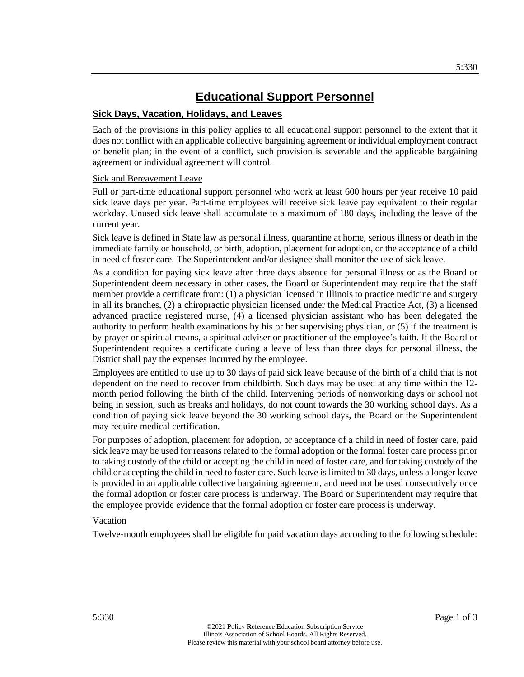# **Educational Support Personnel**

# **Sick Days, Vacation, Holidays, and Leaves**

Each of the provisions in this policy applies to all educational support personnel to the extent that it does not conflict with an applicable collective bargaining agreement or individual employment contract or benefit plan; in the event of a conflict, such provision is severable and the applicable bargaining agreement or individual agreement will control.

# Sick and Bereavement Leave

Full or part-time educational support personnel who work at least 600 hours per year receive 10 paid sick leave days per year. Part-time employees will receive sick leave pay equivalent to their regular workday. Unused sick leave shall accumulate to a maximum of 180 days, including the leave of the current year.

Sick leave is defined in State law as personal illness, quarantine at home, serious illness or death in the immediate family or household, or birth, adoption, placement for adoption, or the acceptance of a child in need of foster care. The Superintendent and/or designee shall monitor the use of sick leave.

As a condition for paying sick leave after three days absence for personal illness or as the Board or Superintendent deem necessary in other cases, the Board or Superintendent may require that the staff member provide a certificate from: (1) a physician licensed in Illinois to practice medicine and surgery in all its branches, (2) a chiropractic physician licensed under the Medical Practice Act, (3) a licensed advanced practice registered nurse, (4) a licensed physician assistant who has been delegated the authority to perform health examinations by his or her supervising physician, or (5) if the treatment is by prayer or spiritual means, a spiritual adviser or practitioner of the employee's faith. If the Board or Superintendent requires a certificate during a leave of less than three days for personal illness, the District shall pay the expenses incurred by the employee.

Employees are entitled to use up to 30 days of paid sick leave because of the birth of a child that is not dependent on the need to recover from childbirth. Such days may be used at any time within the 12 month period following the birth of the child. Intervening periods of nonworking days or school not being in session, such as breaks and holidays, do not count towards the 30 working school days. As a condition of paying sick leave beyond the 30 working school days, the Board or the Superintendent may require medical certification.

For purposes of adoption, placement for adoption, or acceptance of a child in need of foster care, paid sick leave may be used for reasons related to the formal adoption or the formal foster care process prior to taking custody of the child or accepting the child in need of foster care, and for taking custody of the child or accepting the child in need to foster care. Such leave is limited to 30 days, unless a longer leave is provided in an applicable collective bargaining agreement, and need not be used consecutively once the formal adoption or foster care process is underway. The Board or Superintendent may require that the employee provide evidence that the formal adoption or foster care process is underway.

# Vacation

Twelve-month employees shall be eligible for paid vacation days according to the following schedule: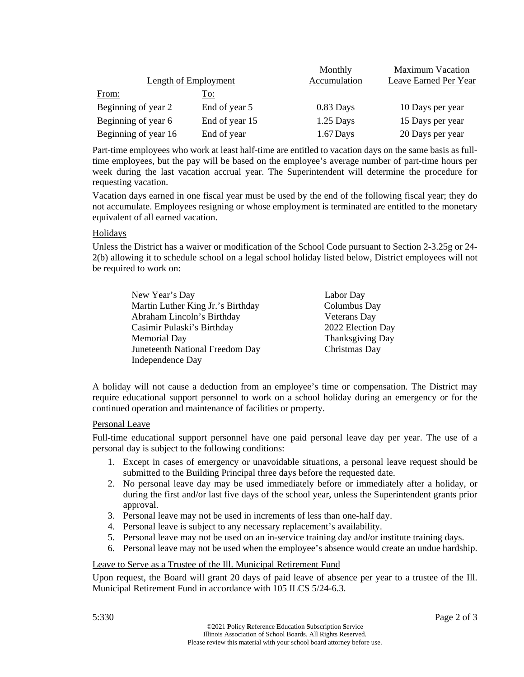|                             |                | Monthly      | <b>Maximum Vacation</b> |
|-----------------------------|----------------|--------------|-------------------------|
| <b>Length of Employment</b> |                | Accumulation | Leave Earned Per Year   |
| From:                       | <u>To:</u>     |              |                         |
| Beginning of year 2         | End of year 5  | $0.83$ Days  | 10 Days per year        |
| Beginning of year 6         | End of year 15 | $1.25$ Days  | 15 Days per year        |
| Beginning of year 16        | End of year    | $1.67$ Days  | 20 Days per year        |

Part-time employees who work at least half-time are entitled to vacation days on the same basis as fulltime employees, but the pay will be based on the employee's average number of part-time hours per week during the last vacation accrual year. The Superintendent will determine the procedure for requesting vacation.

Vacation days earned in one fiscal year must be used by the end of the following fiscal year; they do not accumulate. Employees resigning or whose employment is terminated are entitled to the monetary equivalent of all earned vacation.

# **Holidays**

Unless the District has a waiver or modification of the School Code pursuant to Section 2-3.25g or 24- 2(b) allowing it to schedule school on a legal school holiday listed below, District employees will not be required to work on:

| New Year's Day                    | Labor Day         |
|-----------------------------------|-------------------|
| Martin Luther King Jr.'s Birthday | Columbus Day      |
| Abraham Lincoln's Birthday        | Veterans Day      |
| Casimir Pulaski's Birthday        | 2022 Election Day |
| Memorial Day                      | Thanksgiving Day  |
| Juneteenth National Freedom Day   | Christmas Day     |
| Independence Day                  |                   |

A holiday will not cause a deduction from an employee's time or compensation. The District may require educational support personnel to work on a school holiday during an emergency or for the continued operation and maintenance of facilities or property.

# Personal Leave

Full-time educational support personnel have one paid personal leave day per year. The use of a personal day is subject to the following conditions:

- 1. Except in cases of emergency or unavoidable situations, a personal leave request should be submitted to the Building Principal three days before the requested date.
- 2. No personal leave day may be used immediately before or immediately after a holiday, or during the first and/or last five days of the school year, unless the Superintendent grants prior approval.
- 3. Personal leave may not be used in increments of less than one-half day.
- 4. Personal leave is subject to any necessary replacement's availability.
- 5. Personal leave may not be used on an in-service training day and/or institute training days.
- 6. Personal leave may not be used when the employee's absence would create an undue hardship.

# Leave to Serve as a Trustee of the Ill. Municipal Retirement Fund

Upon request, the Board will grant 20 days of paid leave of absence per year to a trustee of the Ill. Municipal Retirement Fund in accordance with 105 ILCS 5/24-6.3.